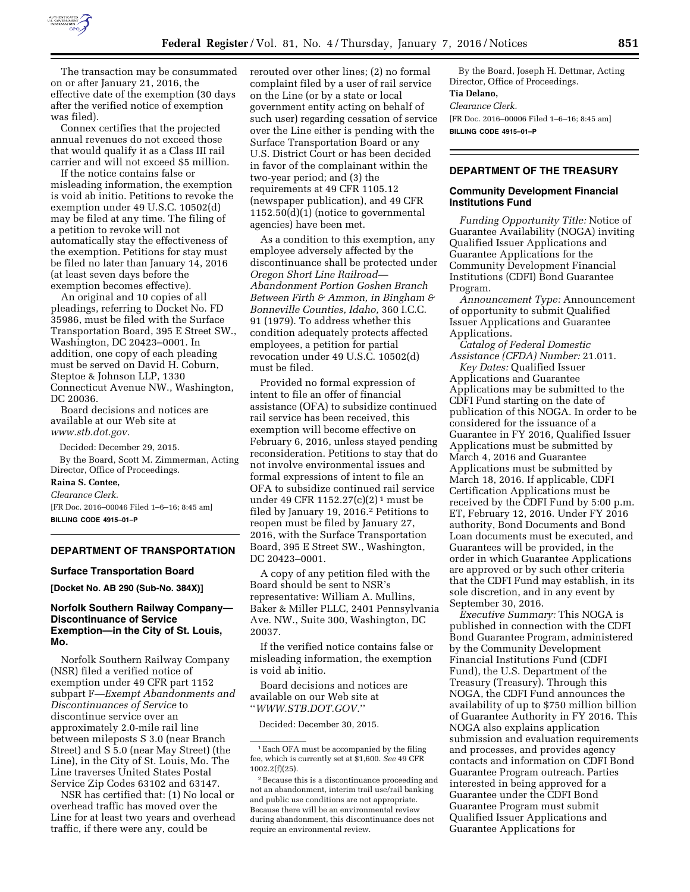

The transaction may be consummated on or after January 21, 2016, the effective date of the exemption (30 days after the verified notice of exemption was filed).

Connex certifies that the projected annual revenues do not exceed those that would qualify it as a Class III rail carrier and will not exceed \$5 million.

If the notice contains false or misleading information, the exemption is void ab initio. Petitions to revoke the exemption under 49 U.S.C. 10502(d) may be filed at any time. The filing of a petition to revoke will not automatically stay the effectiveness of the exemption. Petitions for stay must be filed no later than January 14, 2016 (at least seven days before the exemption becomes effective).

An original and 10 copies of all pleadings, referring to Docket No. FD 35986, must be filed with the Surface Transportation Board, 395 E Street SW., Washington, DC 20423–0001. In addition, one copy of each pleading must be served on David H. Coburn, Steptoe & Johnson LLP, 1330 Connecticut Avenue NW., Washington, DC 20036.

Board decisions and notices are available at our Web site at *[www.stb.dot.gov.](http://www.stb.dot.gov)* 

Decided: December 29, 2015.

By the Board, Scott M. Zimmerman, Acting Director, Office of Proceedings.

# **Raina S. Contee,**

*Clearance Clerk.* 

[FR Doc. 2016–00046 Filed 1–6–16; 8:45 am] **BILLING CODE 4915–01–P** 

#### **DEPARTMENT OF TRANSPORTATION**

#### **Surface Transportation Board**

**[Docket No. AB 290 (Sub-No. 384X)]** 

### **Norfolk Southern Railway Company— Discontinuance of Service Exemption—in the City of St. Louis, Mo.**

Norfolk Southern Railway Company (NSR) filed a verified notice of exemption under 49 CFR part 1152 subpart F—*Exempt Abandonments and Discontinuances of Service* to discontinue service over an approximately 2.0-mile rail line between mileposts S 3.0 (near Branch Street) and S 5.0 (near May Street) (the Line), in the City of St. Louis, Mo. The Line traverses United States Postal Service Zip Codes 63102 and 63147.

NSR has certified that: (1) No local or overhead traffic has moved over the Line for at least two years and overhead traffic, if there were any, could be

rerouted over other lines; (2) no formal complaint filed by a user of rail service on the Line (or by a state or local government entity acting on behalf of such user) regarding cessation of service over the Line either is pending with the Surface Transportation Board or any U.S. District Court or has been decided in favor of the complainant within the two-year period; and (3) the requirements at 49 CFR 1105.12 (newspaper publication), and 49 CFR 1152.50(d)(1) (notice to governmental agencies) have been met.

As a condition to this exemption, any employee adversely affected by the discontinuance shall be protected under *Oregon Short Line Railroad— Abandonment Portion Goshen Branch Between Firth & Ammon, in Bingham & Bonneville Counties, Idaho,* 360 I.C.C. 91 (1979). To address whether this condition adequately protects affected employees, a petition for partial revocation under 49 U.S.C. 10502(d) must be filed.

Provided no formal expression of intent to file an offer of financial assistance (OFA) to subsidize continued rail service has been received, this exemption will become effective on February 6, 2016, unless stayed pending reconsideration. Petitions to stay that do not involve environmental issues and formal expressions of intent to file an OFA to subsidize continued rail service under 49 CFR 1152.27(c)(2)<sup>1</sup> must be filed by January 19, 2016.2 Petitions to reopen must be filed by January 27, 2016, with the Surface Transportation Board, 395 E Street SW., Washington, DC 20423–0001.

A copy of any petition filed with the Board should be sent to NSR's representative: William A. Mullins, Baker & Miller PLLC, 2401 Pennsylvania Ave. NW., Suite 300, Washington, DC 20037.

If the verified notice contains false or misleading information, the exemption is void ab initio.

Board decisions and notices are available on our Web site at ''*[WWW.STB.DOT.GOV.](http://WWW.STB.DOT.GOV)*''

Decided: December 30, 2015.

By the Board, Joseph H. Dettmar, Acting Director, Office of Proceedings. **Tia Delano,**  *Clearance Clerk.*  [FR Doc. 2016–00006 Filed 1–6–16; 8:45 am]

#### **DEPARTMENT OF THE TREASURY**

**BILLING CODE 4915–01–P** 

### **Community Development Financial Institutions Fund**

*Funding Opportunity Title:* Notice of Guarantee Availability (NOGA) inviting Qualified Issuer Applications and Guarantee Applications for the Community Development Financial Institutions (CDFI) Bond Guarantee Program.

*Announcement Type:* Announcement of opportunity to submit Qualified Issuer Applications and Guarantee Applications.

*Catalog of Federal Domestic Assistance (CFDA) Number:* 21.011.

*Key Dates:* Qualified Issuer Applications and Guarantee Applications may be submitted to the CDFI Fund starting on the date of publication of this NOGA. In order to be considered for the issuance of a Guarantee in FY 2016, Qualified Issuer Applications must be submitted by March 4, 2016 and Guarantee Applications must be submitted by March 18, 2016. If applicable, CDFI Certification Applications must be received by the CDFI Fund by 5:00 p.m. ET, February 12, 2016. Under FY 2016 authority, Bond Documents and Bond Loan documents must be executed, and Guarantees will be provided, in the order in which Guarantee Applications are approved or by such other criteria that the CDFI Fund may establish, in its sole discretion, and in any event by September 30, 2016.

*Executive Summary:* This NOGA is published in connection with the CDFI Bond Guarantee Program, administered by the Community Development Financial Institutions Fund (CDFI Fund), the U.S. Department of the Treasury (Treasury). Through this NOGA, the CDFI Fund announces the availability of up to \$750 million billion of Guarantee Authority in FY 2016. This NOGA also explains application submission and evaluation requirements and processes, and provides agency contacts and information on CDFI Bond Guarantee Program outreach. Parties interested in being approved for a Guarantee under the CDFI Bond Guarantee Program must submit Qualified Issuer Applications and Guarantee Applications for

<sup>1</sup>Each OFA must be accompanied by the filing fee, which is currently set at \$1,600. *See* 49 CFR 1002.2(f)(25).

<sup>2</sup>Because this is a discontinuance proceeding and not an abandonment, interim trail use/rail banking and public use conditions are not appropriate. Because there will be an environmental review during abandonment, this discontinuance does not require an environmental review.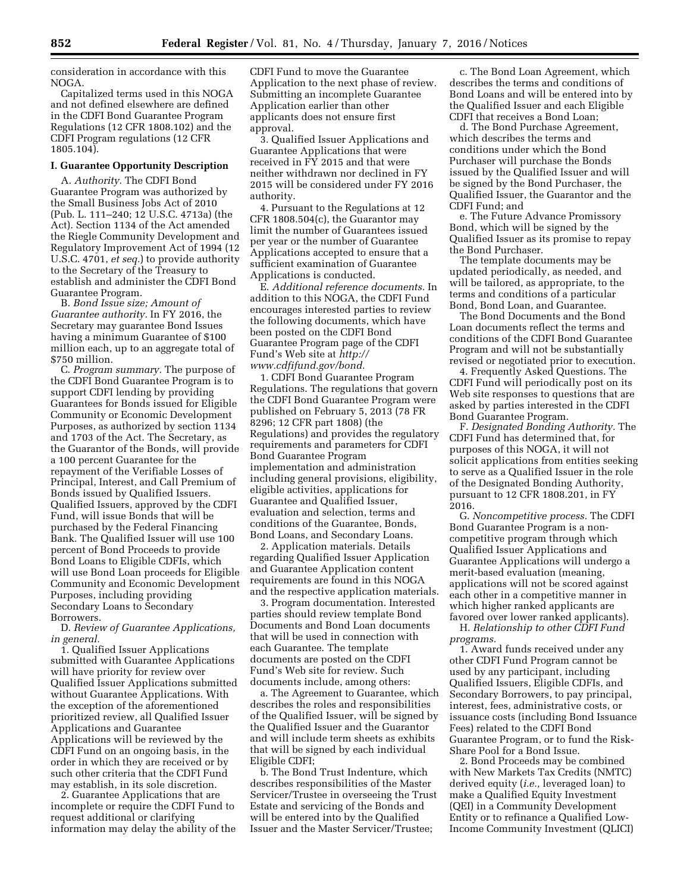consideration in accordance with this NOGA.

Capitalized terms used in this NOGA and not defined elsewhere are defined in the CDFI Bond Guarantee Program Regulations (12 CFR 1808.102) and the CDFI Program regulations (12 CFR 1805.104).

## **I. Guarantee Opportunity Description**

A. *Authority.* The CDFI Bond Guarantee Program was authorized by the Small Business Jobs Act of 2010 (Pub. L. 111–240; 12 U.S.C. 4713a) (the Act). Section 1134 of the Act amended the Riegle Community Development and Regulatory Improvement Act of 1994 (12 U.S.C. 4701, *et seq.*) to provide authority to the Secretary of the Treasury to establish and administer the CDFI Bond Guarantee Program.

B. *Bond Issue size; Amount of Guarantee authority.* In FY 2016, the Secretary may guarantee Bond Issues having a minimum Guarantee of \$100 million each, up to an aggregate total of \$750 million.

C. *Program summary.* The purpose of the CDFI Bond Guarantee Program is to support CDFI lending by providing Guarantees for Bonds issued for Eligible Community or Economic Development Purposes, as authorized by section 1134 and 1703 of the Act. The Secretary, as the Guarantor of the Bonds, will provide a 100 percent Guarantee for the repayment of the Verifiable Losses of Principal, Interest, and Call Premium of Bonds issued by Qualified Issuers. Qualified Issuers, approved by the CDFI Fund, will issue Bonds that will be purchased by the Federal Financing Bank. The Qualified Issuer will use 100 percent of Bond Proceeds to provide Bond Loans to Eligible CDFIs, which will use Bond Loan proceeds for Eligible Community and Economic Development Purposes, including providing Secondary Loans to Secondary Borrowers.

D. *Review of Guarantee Applications, in general.* 

1. Qualified Issuer Applications submitted with Guarantee Applications will have priority for review over Qualified Issuer Applications submitted without Guarantee Applications. With the exception of the aforementioned prioritized review, all Qualified Issuer Applications and Guarantee Applications will be reviewed by the CDFI Fund on an ongoing basis, in the order in which they are received or by such other criteria that the CDFI Fund may establish, in its sole discretion.

2. Guarantee Applications that are incomplete or require the CDFI Fund to request additional or clarifying information may delay the ability of the CDFI Fund to move the Guarantee Application to the next phase of review. Submitting an incomplete Guarantee Application earlier than other applicants does not ensure first approval.

3. Qualified Issuer Applications and Guarantee Applications that were received in FY 2015 and that were neither withdrawn nor declined in FY 2015 will be considered under FY 2016 authority.

4. Pursuant to the Regulations at 12 CFR 1808.504(c), the Guarantor may limit the number of Guarantees issued per year or the number of Guarantee Applications accepted to ensure that a sufficient examination of Guarantee Applications is conducted.

E. *Additional reference documents.* In addition to this NOGA, the CDFI Fund encourages interested parties to review the following documents, which have been posted on the CDFI Bond Guarantee Program page of the CDFI Fund's Web site at *[http://](http://www.cdfifund.gov/bond) [www.cdfifund.gov/bond.](http://www.cdfifund.gov/bond)* 

1. CDFI Bond Guarantee Program Regulations. The regulations that govern the CDFI Bond Guarantee Program were published on February 5, 2013 (78 FR 8296; 12 CFR part 1808) (the Regulations) and provides the regulatory requirements and parameters for CDFI Bond Guarantee Program implementation and administration including general provisions, eligibility, eligible activities, applications for Guarantee and Qualified Issuer, evaluation and selection, terms and conditions of the Guarantee, Bonds, Bond Loans, and Secondary Loans.

2. Application materials. Details regarding Qualified Issuer Application and Guarantee Application content requirements are found in this NOGA and the respective application materials.

3. Program documentation. Interested parties should review template Bond Documents and Bond Loan documents that will be used in connection with each Guarantee. The template documents are posted on the CDFI Fund's Web site for review. Such documents include, among others:

a. The Agreement to Guarantee, which describes the roles and responsibilities of the Qualified Issuer, will be signed by the Qualified Issuer and the Guarantor and will include term sheets as exhibits that will be signed by each individual Eligible CDFI;

b. The Bond Trust Indenture, which describes responsibilities of the Master Servicer/Trustee in overseeing the Trust Estate and servicing of the Bonds and will be entered into by the Qualified Issuer and the Master Servicer/Trustee;

c. The Bond Loan Agreement, which describes the terms and conditions of Bond Loans and will be entered into by the Qualified Issuer and each Eligible CDFI that receives a Bond Loan;

d. The Bond Purchase Agreement, which describes the terms and conditions under which the Bond Purchaser will purchase the Bonds issued by the Qualified Issuer and will be signed by the Bond Purchaser, the Qualified Issuer, the Guarantor and the CDFI Fund; and

e. The Future Advance Promissory Bond, which will be signed by the Qualified Issuer as its promise to repay the Bond Purchaser.

The template documents may be updated periodically, as needed, and will be tailored, as appropriate, to the terms and conditions of a particular Bond, Bond Loan, and Guarantee.

The Bond Documents and the Bond Loan documents reflect the terms and conditions of the CDFI Bond Guarantee Program and will not be substantially revised or negotiated prior to execution.

4. Frequently Asked Questions. The CDFI Fund will periodically post on its Web site responses to questions that are asked by parties interested in the CDFI Bond Guarantee Program.

F. *Designated Bonding Authority.* The CDFI Fund has determined that, for purposes of this NOGA, it will not solicit applications from entities seeking to serve as a Qualified Issuer in the role of the Designated Bonding Authority, pursuant to 12 CFR 1808.201, in FY 2016.

G. *Noncompetitive process.* The CDFI Bond Guarantee Program is a noncompetitive program through which Qualified Issuer Applications and Guarantee Applications will undergo a merit-based evaluation (meaning, applications will not be scored against each other in a competitive manner in which higher ranked applicants are favored over lower ranked applicants).

H. *Relationship to other CDFI Fund programs.* 

1. Award funds received under any other CDFI Fund Program cannot be used by any participant, including Qualified Issuers, Eligible CDFIs, and Secondary Borrowers, to pay principal, interest, fees, administrative costs, or issuance costs (including Bond Issuance Fees) related to the CDFI Bond Guarantee Program, or to fund the Risk-Share Pool for a Bond Issue.

2. Bond Proceeds may be combined with New Markets Tax Credits (NMTC) derived equity (*i.e.,* leveraged loan) to make a Qualified Equity Investment (QEI) in a Community Development Entity or to refinance a Qualified Low-Income Community Investment (QLICI)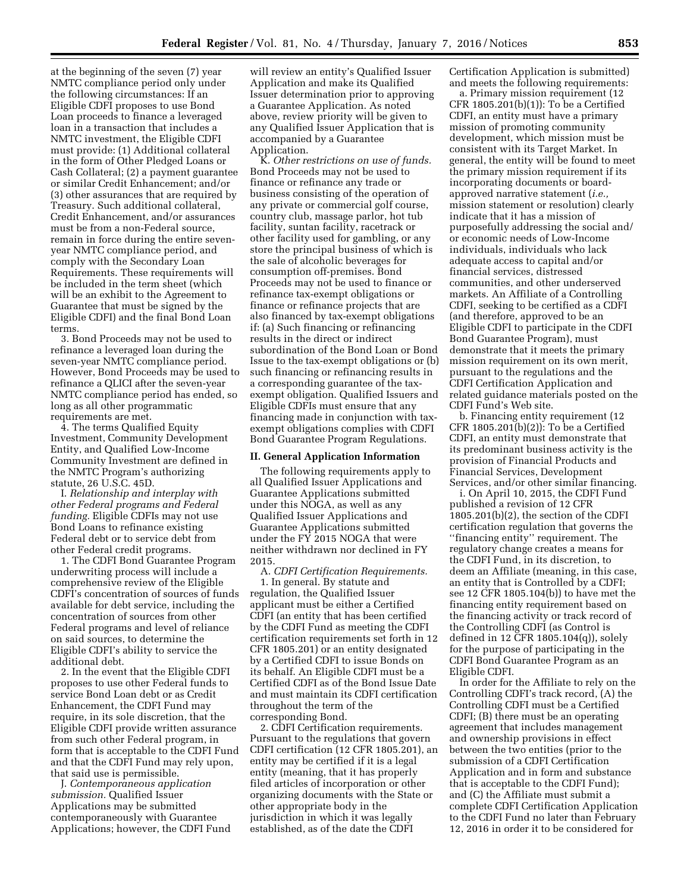at the beginning of the seven (7) year NMTC compliance period only under the following circumstances: If an Eligible CDFI proposes to use Bond Loan proceeds to finance a leveraged loan in a transaction that includes a NMTC investment, the Eligible CDFI must provide: (1) Additional collateral in the form of Other Pledged Loans or Cash Collateral; (2) a payment guarantee or similar Credit Enhancement; and/or (3) other assurances that are required by Treasury. Such additional collateral, Credit Enhancement, and/or assurances must be from a non-Federal source, remain in force during the entire sevenyear NMTC compliance period, and comply with the Secondary Loan Requirements. These requirements will be included in the term sheet (which will be an exhibit to the Agreement to Guarantee that must be signed by the Eligible CDFI) and the final Bond Loan terms.

3. Bond Proceeds may not be used to refinance a leveraged loan during the seven-year NMTC compliance period. However, Bond Proceeds may be used to refinance a QLICI after the seven-year NMTC compliance period has ended, so long as all other programmatic requirements are met.

4. The terms Qualified Equity Investment, Community Development Entity, and Qualified Low-Income Community Investment are defined in the NMTC Program's authorizing statute, 26 U.S.C. 45D.

I. *Relationship and interplay with other Federal programs and Federal funding.* Eligible CDFIs may not use Bond Loans to refinance existing Federal debt or to service debt from other Federal credit programs.

1. The CDFI Bond Guarantee Program underwriting process will include a comprehensive review of the Eligible CDFI's concentration of sources of funds available for debt service, including the concentration of sources from other Federal programs and level of reliance on said sources, to determine the Eligible CDFI's ability to service the additional debt.

2. In the event that the Eligible CDFI proposes to use other Federal funds to service Bond Loan debt or as Credit Enhancement, the CDFI Fund may require, in its sole discretion, that the Eligible CDFI provide written assurance from such other Federal program, in form that is acceptable to the CDFI Fund and that the CDFI Fund may rely upon, that said use is permissible.

J. *Contemporaneous application submission.* Qualified Issuer Applications may be submitted contemporaneously with Guarantee Applications; however, the CDFI Fund

will review an entity's Qualified Issuer Application and make its Qualified Issuer determination prior to approving a Guarantee Application. As noted above, review priority will be given to any Qualified Issuer Application that is accompanied by a Guarantee Application.

K. *Other restrictions on use of funds.*  Bond Proceeds may not be used to finance or refinance any trade or business consisting of the operation of any private or commercial golf course, country club, massage parlor, hot tub facility, suntan facility, racetrack or other facility used for gambling, or any store the principal business of which is the sale of alcoholic beverages for consumption off-premises. Bond Proceeds may not be used to finance or refinance tax-exempt obligations or finance or refinance projects that are also financed by tax-exempt obligations if: (a) Such financing or refinancing results in the direct or indirect subordination of the Bond Loan or Bond Issue to the tax-exempt obligations or (b) such financing or refinancing results in a corresponding guarantee of the taxexempt obligation. Qualified Issuers and Eligible CDFIs must ensure that any financing made in conjunction with taxexempt obligations complies with CDFI Bond Guarantee Program Regulations.

#### **II. General Application Information**

The following requirements apply to all Qualified Issuer Applications and Guarantee Applications submitted under this NOGA, as well as any Qualified Issuer Applications and Guarantee Applications submitted under the FY 2015 NOGA that were neither withdrawn nor declined in FY 2015.

A. *CDFI Certification Requirements.*  1. In general. By statute and regulation, the Qualified Issuer applicant must be either a Certified CDFI (an entity that has been certified by the CDFI Fund as meeting the CDFI certification requirements set forth in 12 CFR 1805.201) or an entity designated by a Certified CDFI to issue Bonds on its behalf. An Eligible CDFI must be a Certified CDFI as of the Bond Issue Date and must maintain its CDFI certification throughout the term of the corresponding Bond.

2. CDFI Certification requirements. Pursuant to the regulations that govern CDFI certification (12 CFR 1805.201), an entity may be certified if it is a legal entity (meaning, that it has properly filed articles of incorporation or other organizing documents with the State or other appropriate body in the jurisdiction in which it was legally established, as of the date the CDFI

Certification Application is submitted) and meets the following requirements:

a. Primary mission requirement (12 CFR 1805.201(b)(1)): To be a Certified CDFI, an entity must have a primary mission of promoting community development, which mission must be consistent with its Target Market. In general, the entity will be found to meet the primary mission requirement if its incorporating documents or boardapproved narrative statement (*i.e.,*  mission statement or resolution) clearly indicate that it has a mission of purposefully addressing the social and/ or economic needs of Low-Income individuals, individuals who lack adequate access to capital and/or financial services, distressed communities, and other underserved markets. An Affiliate of a Controlling CDFI, seeking to be certified as a CDFI (and therefore, approved to be an Eligible CDFI to participate in the CDFI Bond Guarantee Program), must demonstrate that it meets the primary mission requirement on its own merit, pursuant to the regulations and the CDFI Certification Application and related guidance materials posted on the CDFI Fund's Web site.

b. Financing entity requirement (12 CFR 1805.201(b)(2)): To be a Certified CDFI, an entity must demonstrate that its predominant business activity is the provision of Financial Products and Financial Services, Development Services, and/or other similar financing.

i. On April 10, 2015, the CDFI Fund published a revision of 12 CFR 1805.201(b)(2), the section of the CDFI certification regulation that governs the ''financing entity'' requirement. The regulatory change creates a means for the CDFI Fund, in its discretion, to deem an Affiliate (meaning, in this case, an entity that is Controlled by a CDFI; see 12 CFR 1805.104(b)) to have met the financing entity requirement based on the financing activity or track record of the Controlling CDFI (as Control is defined in 12 CFR 1805.104(q)), solely for the purpose of participating in the CDFI Bond Guarantee Program as an Eligible CDFI.

In order for the Affiliate to rely on the Controlling CDFI's track record, (A) the Controlling CDFI must be a Certified CDFI; (B) there must be an operating agreement that includes management and ownership provisions in effect between the two entities (prior to the submission of a CDFI Certification Application and in form and substance that is acceptable to the CDFI Fund); and (C) the Affiliate must submit a complete CDFI Certification Application to the CDFI Fund no later than February 12, 2016 in order it to be considered for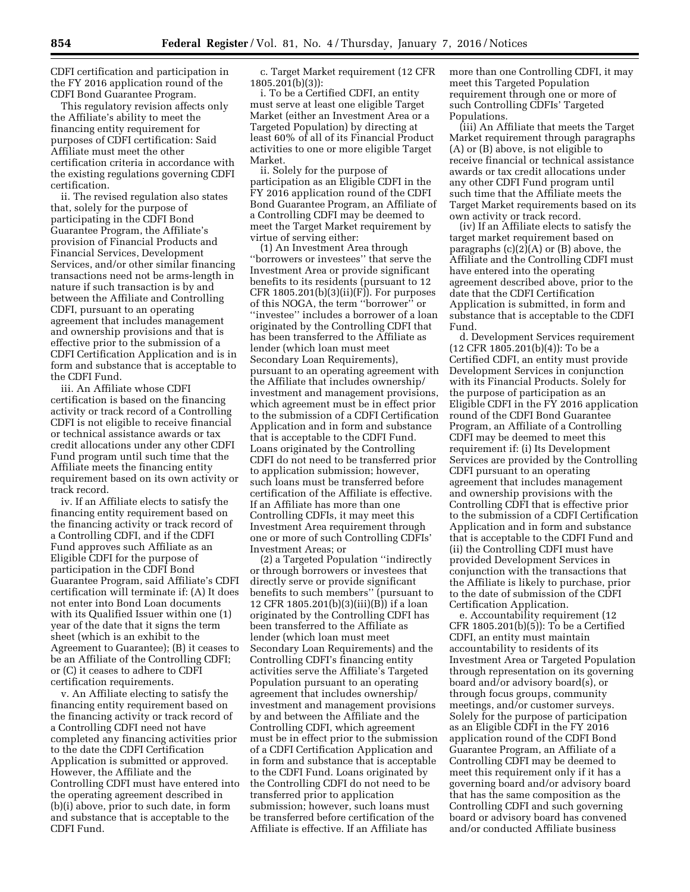CDFI certification and participation in the FY 2016 application round of the CDFI Bond Guarantee Program.

This regulatory revision affects only the Affiliate's ability to meet the financing entity requirement for purposes of CDFI certification: Said Affiliate must meet the other certification criteria in accordance with the existing regulations governing CDFI certification.

ii. The revised regulation also states that, solely for the purpose of participating in the CDFI Bond Guarantee Program, the Affiliate's provision of Financial Products and Financial Services, Development Services, and/or other similar financing transactions need not be arms-length in nature if such transaction is by and between the Affiliate and Controlling CDFI, pursuant to an operating agreement that includes management and ownership provisions and that is effective prior to the submission of a CDFI Certification Application and is in form and substance that is acceptable to the CDFI Fund.

iii. An Affiliate whose CDFI certification is based on the financing activity or track record of a Controlling CDFI is not eligible to receive financial or technical assistance awards or tax credit allocations under any other CDFI Fund program until such time that the Affiliate meets the financing entity requirement based on its own activity or track record.

iv. If an Affiliate elects to satisfy the financing entity requirement based on the financing activity or track record of a Controlling CDFI, and if the CDFI Fund approves such Affiliate as an Eligible CDFI for the purpose of participation in the CDFI Bond Guarantee Program, said Affiliate's CDFI certification will terminate if: (A) It does not enter into Bond Loan documents with its Qualified Issuer within one (1) year of the date that it signs the term sheet (which is an exhibit to the Agreement to Guarantee); (B) it ceases to be an Affiliate of the Controlling CDFI; or (C) it ceases to adhere to CDFI certification requirements.

v. An Affiliate electing to satisfy the financing entity requirement based on the financing activity or track record of a Controlling CDFI need not have completed any financing activities prior to the date the CDFI Certification Application is submitted or approved. However, the Affiliate and the Controlling CDFI must have entered into the operating agreement described in (b)(i) above, prior to such date, in form and substance that is acceptable to the CDFI Fund.

c. Target Market requirement (12 CFR 1805.201(b)(3)):

i. To be a Certified CDFI, an entity must serve at least one eligible Target Market (either an Investment Area or a Targeted Population) by directing at least 60% of all of its Financial Product activities to one or more eligible Target Market.

ii. Solely for the purpose of participation as an Eligible CDFI in the FY 2016 application round of the CDFI Bond Guarantee Program, an Affiliate of a Controlling CDFI may be deemed to meet the Target Market requirement by virtue of serving either:

(1) An Investment Area through ''borrowers or investees'' that serve the Investment Area or provide significant benefits to its residents (pursuant to 12 CFR  $1805.201(b)(3)(ii)(F)$ . For purposes of this NOGA, the term ''borrower'' or ''investee'' includes a borrower of a loan originated by the Controlling CDFI that has been transferred to the Affiliate as lender (which loan must meet Secondary Loan Requirements), pursuant to an operating agreement with the Affiliate that includes ownership/ investment and management provisions, which agreement must be in effect prior to the submission of a CDFI Certification Application and in form and substance that is acceptable to the CDFI Fund. Loans originated by the Controlling CDFI do not need to be transferred prior to application submission; however, such loans must be transferred before certification of the Affiliate is effective. If an Affiliate has more than one Controlling CDFIs, it may meet this Investment Area requirement through one or more of such Controlling CDFIs' Investment Areas; or

(2) a Targeted Population ''indirectly or through borrowers or investees that directly serve or provide significant benefits to such members'' (pursuant to 12 CFR 1805.201(b)(3)(iii)(B)) if a loan originated by the Controlling CDFI has been transferred to the Affiliate as lender (which loan must meet Secondary Loan Requirements) and the Controlling CDFI's financing entity activities serve the Affiliate's Targeted Population pursuant to an operating agreement that includes ownership/ investment and management provisions by and between the Affiliate and the Controlling CDFI, which agreement must be in effect prior to the submission of a CDFI Certification Application and in form and substance that is acceptable to the CDFI Fund. Loans originated by the Controlling CDFI do not need to be transferred prior to application submission; however, such loans must be transferred before certification of the Affiliate is effective. If an Affiliate has

more than one Controlling CDFI, it may meet this Targeted Population requirement through one or more of such Controlling CDFIs' Targeted Populations.

(iii) An Affiliate that meets the Target Market requirement through paragraphs (A) or (B) above, is not eligible to receive financial or technical assistance awards or tax credit allocations under any other CDFI Fund program until such time that the Affiliate meets the Target Market requirements based on its own activity or track record.

(iv) If an Affiliate elects to satisfy the target market requirement based on paragraphs  $(c)(2)(A)$  or  $(B)$  above, the Affiliate and the Controlling CDFI must have entered into the operating agreement described above, prior to the date that the CDFI Certification Application is submitted, in form and substance that is acceptable to the CDFI Fund.

d. Development Services requirement (12 CFR 1805.201(b)(4)): To be a Certified CDFI, an entity must provide Development Services in conjunction with its Financial Products. Solely for the purpose of participation as an Eligible CDFI in the FY 2016 application round of the CDFI Bond Guarantee Program, an Affiliate of a Controlling CDFI may be deemed to meet this requirement if: (i) Its Development Services are provided by the Controlling CDFI pursuant to an operating agreement that includes management and ownership provisions with the Controlling CDFI that is effective prior to the submission of a CDFI Certification Application and in form and substance that is acceptable to the CDFI Fund and (ii) the Controlling CDFI must have provided Development Services in conjunction with the transactions that the Affiliate is likely to purchase, prior to the date of submission of the CDFI Certification Application.

e. Accountability requirement (12 CFR 1805.201(b)(5)): To be a Certified CDFI, an entity must maintain accountability to residents of its Investment Area or Targeted Population through representation on its governing board and/or advisory board(s), or through focus groups, community meetings, and/or customer surveys. Solely for the purpose of participation as an Eligible CDFI in the FY 2016 application round of the CDFI Bond Guarantee Program, an Affiliate of a Controlling CDFI may be deemed to meet this requirement only if it has a governing board and/or advisory board that has the same composition as the Controlling CDFI and such governing board or advisory board has convened and/or conducted Affiliate business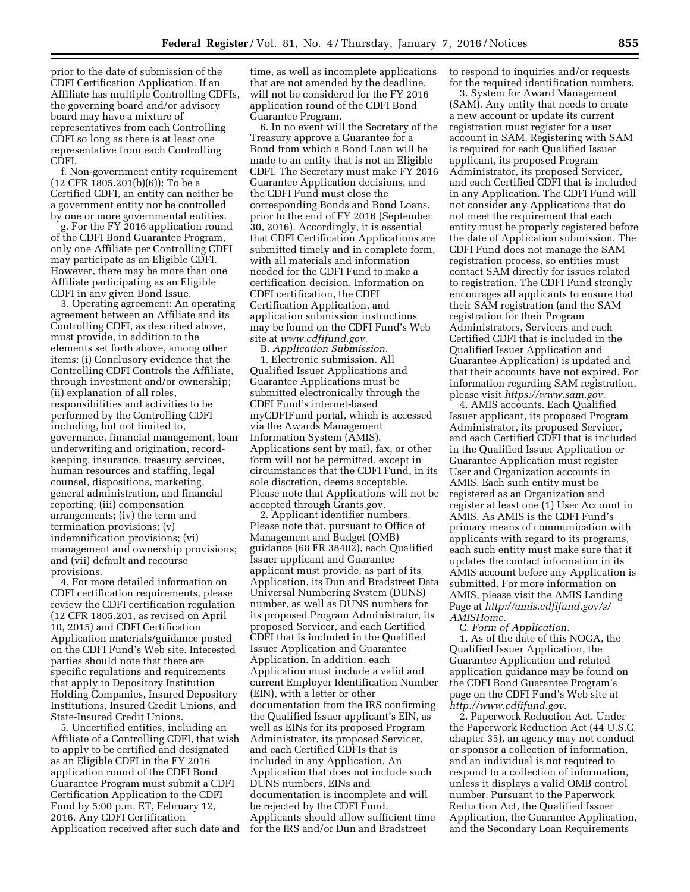prior to the date of submission of the CDFI Certification Application. If an Affiliate has multiple Controlling CDFIs, the governing board and/or advisory board may have a mixture of representatives from each Controlling CDFI so long as there is at least one representative from each Controlling CDFI.

f. Non-government entity requirement (12 CFR 1805.201(b)(6)): To be a Certified CDFI, an entity can neither be a government entity nor be controlled by one or more governmental entities.

g. For the FY 2016 application round of the CDFI Bond Guarantee Program, only one Affiliate per Controlling CDFI may participate as an Eligible CDFI. However, there may be more than one Affiliate participating as an Eligible CDFI in any given Bond Issue.

3. Operating agreement: An operating agreement between an Affiliate and its Controlling CDFI, as described above, must provide, in addition to the elements set forth above, among other items: (i) Conclusory evidence that the Controlling CDFI Controls the Affiliate, through investment and/or ownership; (ii) explanation of all roles, responsibilities and activities to be performed by the Controlling CDFI including, but not limited to, governance, financial management, loan underwriting and origination, recordkeeping, insurance, treasury services, human resources and staffing, legal counsel, dispositions, marketing, general administration, and financial reporting; (iii) compensation arrangements; (iv) the term and termination provisions; (v) indemnification provisions; (vi) management and ownership provisions; and (vii) default and recourse provisions.

4. For more detailed information on CDFI certification requirements, please review the CDFI certification regulation (12 CFR 1805.201, as revised on April 10, 2015) and CDFI Certification Application materials/guidance posted on the CDFI Fund's Web site. Interested parties should note that there are specific regulations and requirements that apply to Depository Institution Holding Companies, Insured Depository Institutions, Insured Credit Unions, and State-Insured Credit Unions.

5. Uncertified entities, including an Affiliate of a Controlling CDFI, that wish to apply to be certified and designated as an Eligible CDFI in the FY 2016 application round of the CDFI Bond Guarantee Program must submit a CDFI Certification Application to the CDFI Fund by 5:00 p.m. ET, February 12, 2016. Any CDFI Certification Application received after such date and

time, as well as incomplete applications that are not amended by the deadline, will not be considered for the FY 2016 application round of the CDFI Bond Guarantee Program.

6. In no event will the Secretary of the Treasury approve a Guarantee for a Bond from which a Bond Loan will be made to an entity that is not an Eligible CDFI. The Secretary must make FY 2016 Guarantee Application decisions, and the CDFI Fund must close the corresponding Bonds and Bond Loans, prior to the end of FY 2016 (September 30, 2016). Accordingly, it is essential that CDFI Certification Applications are submitted timely and in complete form, with all materials and information needed for the CDFI Fund to make a certification decision. Information on CDFI certification, the CDFI Certification Application, and application submission instructions may be found on the CDFI Fund's Web site at *[www.cdfifund.gov.](http://www.cdfifund.gov)* 

B. *Application Submission.*  1. Electronic submission. All Qualified Issuer Applications and Guarantee Applications must be submitted electronically through the CDFI Fund's internet-based myCDFIFund portal, which is accessed via the Awards Management Information System (AMIS). Applications sent by mail, fax, or other form will not be permitted, except in circumstances that the CDFI Fund, in its sole discretion, deems acceptable. Please note that Applications will not be accepted through Grants.gov.

2. Applicant identifier numbers. Please note that, pursuant to Office of Management and Budget (OMB) guidance (68 FR 38402), each Qualified Issuer applicant and Guarantee applicant must provide, as part of its Application, its Dun and Bradstreet Data Universal Numbering System (DUNS) number, as well as DUNS numbers for its proposed Program Administrator, its proposed Servicer, and each Certified CDFI that is included in the Qualified Issuer Application and Guarantee Application. In addition, each Application must include a valid and current Employer Identification Number (EIN), with a letter or other documentation from the IRS confirming the Qualified Issuer applicant's EIN, as well as EINs for its proposed Program Administrator, its proposed Servicer, and each Certified CDFIs that is included in any Application. An Application that does not include such DUNS numbers, EINs and documentation is incomplete and will be rejected by the CDFI Fund. Applicants should allow sufficient time for the IRS and/or Dun and Bradstreet

to respond to inquiries and/or requests for the required identification numbers.

3. System for Award Management (SAM). Any entity that needs to create a new account or update its current registration must register for a user account in SAM. Registering with SAM is required for each Qualified Issuer applicant, its proposed Program Administrator, its proposed Servicer, and each Certified CDFI that is included in any Application. The CDFI Fund will not consider any Applications that do not meet the requirement that each entity must be properly registered before the date of Application submission. The CDFI Fund does not manage the SAM registration process, so entities must contact SAM directly for issues related to registration. The CDFI Fund strongly encourages all applicants to ensure that their SAM registration (and the SAM registration for their Program Administrators, Servicers and each Certified CDFI that is included in the Qualified Issuer Application and Guarantee Application) is updated and that their accounts have not expired. For information regarding SAM registration, please visit *[https://www.sam.gov.](https://www.sam.gov)* 

4. AMIS accounts. Each Qualified Issuer applicant, its proposed Program Administrator, its proposed Servicer, and each Certified CDFI that is included in the Qualified Issuer Application or Guarantee Application must register User and Organization accounts in AMIS. Each such entity must be registered as an Organization and register at least one (1) User Account in AMIS. As AMIS is the CDFI Fund's primary means of communication with applicants with regard to its programs, each such entity must make sure that it updates the contact information in its AMIS account before any Application is submitted. For more information on AMIS, please visit the AMIS Landing Page at *[http://amis.cdfifund.gov/s/](http://amis.cdfifund.gov/s/AMISHome) [AMISHome.](http://amis.cdfifund.gov/s/AMISHome)* 

C. *Form of Application.* 

1. As of the date of this NOGA, the Qualified Issuer Application, the Guarantee Application and related application guidance may be found on the CDFI Bond Guarantee Program's page on the CDFI Fund's Web site at *[http://www.cdfifund.gov.](http://www.cdfifund.gov)* 

2. Paperwork Reduction Act. Under the Paperwork Reduction Act (44 U.S.C. chapter 35), an agency may not conduct or sponsor a collection of information, and an individual is not required to respond to a collection of information, unless it displays a valid OMB control number. Pursuant to the Paperwork Reduction Act, the Qualified Issuer Application, the Guarantee Application, and the Secondary Loan Requirements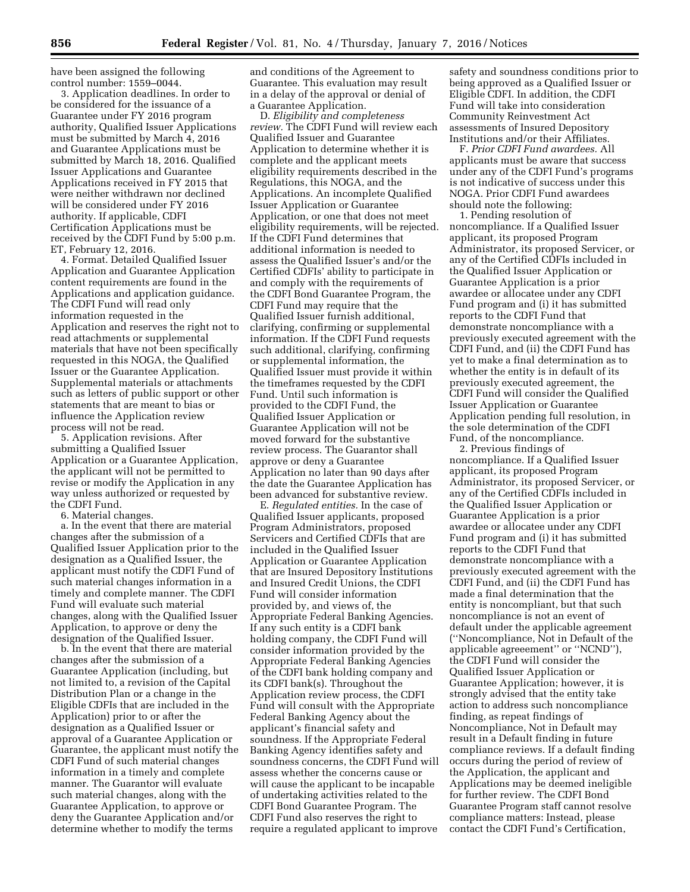have been assigned the following control number: 1559–0044.

3. Application deadlines. In order to be considered for the issuance of a Guarantee under FY 2016 program authority, Qualified Issuer Applications must be submitted by March 4, 2016 and Guarantee Applications must be submitted by March 18, 2016. Qualified Issuer Applications and Guarantee Applications received in FY 2015 that were neither withdrawn nor declined will be considered under FY 2016 authority. If applicable, CDFI Certification Applications must be received by the CDFI Fund by 5:00 p.m. ET, February 12, 2016.

4. Format. Detailed Qualified Issuer Application and Guarantee Application content requirements are found in the Applications and application guidance. The CDFI Fund will read only information requested in the Application and reserves the right not to read attachments or supplemental materials that have not been specifically requested in this NOGA, the Qualified Issuer or the Guarantee Application. Supplemental materials or attachments such as letters of public support or other statements that are meant to bias or influence the Application review process will not be read.

5. Application revisions. After submitting a Qualified Issuer Application or a Guarantee Application, the applicant will not be permitted to revise or modify the Application in any way unless authorized or requested by the CDFI Fund.

6. Material changes.

a. In the event that there are material changes after the submission of a Qualified Issuer Application prior to the designation as a Qualified Issuer, the applicant must notify the CDFI Fund of such material changes information in a timely and complete manner. The CDFI Fund will evaluate such material changes, along with the Qualified Issuer Application, to approve or deny the designation of the Qualified Issuer.

b. In the event that there are material changes after the submission of a Guarantee Application (including, but not limited to, a revision of the Capital Distribution Plan or a change in the Eligible CDFIs that are included in the Application) prior to or after the designation as a Qualified Issuer or approval of a Guarantee Application or Guarantee, the applicant must notify the CDFI Fund of such material changes information in a timely and complete manner. The Guarantor will evaluate such material changes, along with the Guarantee Application, to approve or deny the Guarantee Application and/or determine whether to modify the terms

and conditions of the Agreement to Guarantee. This evaluation may result in a delay of the approval or denial of a Guarantee Application.

D. *Eligibility and completeness review.* The CDFI Fund will review each Qualified Issuer and Guarantee Application to determine whether it is complete and the applicant meets eligibility requirements described in the Regulations, this NOGA, and the Applications. An incomplete Qualified Issuer Application or Guarantee Application, or one that does not meet eligibility requirements, will be rejected. If the CDFI Fund determines that additional information is needed to assess the Qualified Issuer's and/or the Certified CDFIs' ability to participate in and comply with the requirements of the CDFI Bond Guarantee Program, the CDFI Fund may require that the Qualified Issuer furnish additional, clarifying, confirming or supplemental information. If the CDFI Fund requests such additional, clarifying, confirming or supplemental information, the Qualified Issuer must provide it within the timeframes requested by the CDFI Fund. Until such information is provided to the CDFI Fund, the Qualified Issuer Application or Guarantee Application will not be moved forward for the substantive review process. The Guarantor shall approve or deny a Guarantee Application no later than 90 days after the date the Guarantee Application has been advanced for substantive review.

E. *Regulated entities.* In the case of Qualified Issuer applicants, proposed Program Administrators, proposed Servicers and Certified CDFIs that are included in the Qualified Issuer Application or Guarantee Application that are Insured Depository Institutions and Insured Credit Unions, the CDFI Fund will consider information provided by, and views of, the Appropriate Federal Banking Agencies. If any such entity is a CDFI bank holding company, the CDFI Fund will consider information provided by the Appropriate Federal Banking Agencies of the CDFI bank holding company and its CDFI bank(s). Throughout the Application review process, the CDFI Fund will consult with the Appropriate Federal Banking Agency about the applicant's financial safety and soundness. If the Appropriate Federal Banking Agency identifies safety and soundness concerns, the CDFI Fund will assess whether the concerns cause or will cause the applicant to be incapable of undertaking activities related to the CDFI Bond Guarantee Program. The CDFI Fund also reserves the right to require a regulated applicant to improve

safety and soundness conditions prior to being approved as a Qualified Issuer or Eligible CDFI. In addition, the CDFI Fund will take into consideration Community Reinvestment Act assessments of Insured Depository Institutions and/or their Affiliates.

F. *Prior CDFI Fund awardees.* All applicants must be aware that success under any of the CDFI Fund's programs is not indicative of success under this NOGA. Prior CDFI Fund awardees should note the following:

1. Pending resolution of noncompliance. If a Qualified Issuer applicant, its proposed Program Administrator, its proposed Servicer, or any of the Certified CDFIs included in the Qualified Issuer Application or Guarantee Application is a prior awardee or allocatee under any CDFI Fund program and (i) it has submitted reports to the CDFI Fund that demonstrate noncompliance with a previously executed agreement with the CDFI Fund, and (ii) the CDFI Fund has yet to make a final determination as to whether the entity is in default of its previously executed agreement, the CDFI Fund will consider the Qualified Issuer Application or Guarantee Application pending full resolution, in the sole determination of the CDFI Fund, of the noncompliance.

2. Previous findings of noncompliance. If a Qualified Issuer applicant, its proposed Program Administrator, its proposed Servicer, or any of the Certified CDFIs included in the Qualified Issuer Application or Guarantee Application is a prior awardee or allocatee under any CDFI Fund program and (i) it has submitted reports to the CDFI Fund that demonstrate noncompliance with a previously executed agreement with the CDFI Fund, and (ii) the CDFI Fund has made a final determination that the entity is noncompliant, but that such noncompliance is not an event of default under the applicable agreement (''Noncompliance, Not in Default of the applicable agreeement'' or ''NCND''), the CDFI Fund will consider the Qualified Issuer Application or Guarantee Application; however, it is strongly advised that the entity take action to address such noncompliance finding, as repeat findings of Noncompliance, Not in Default may result in a Default finding in future compliance reviews. If a default finding occurs during the period of review of the Application, the applicant and Applications may be deemed ineligible for further review. The CDFI Bond Guarantee Program staff cannot resolve compliance matters: Instead, please contact the CDFI Fund's Certification,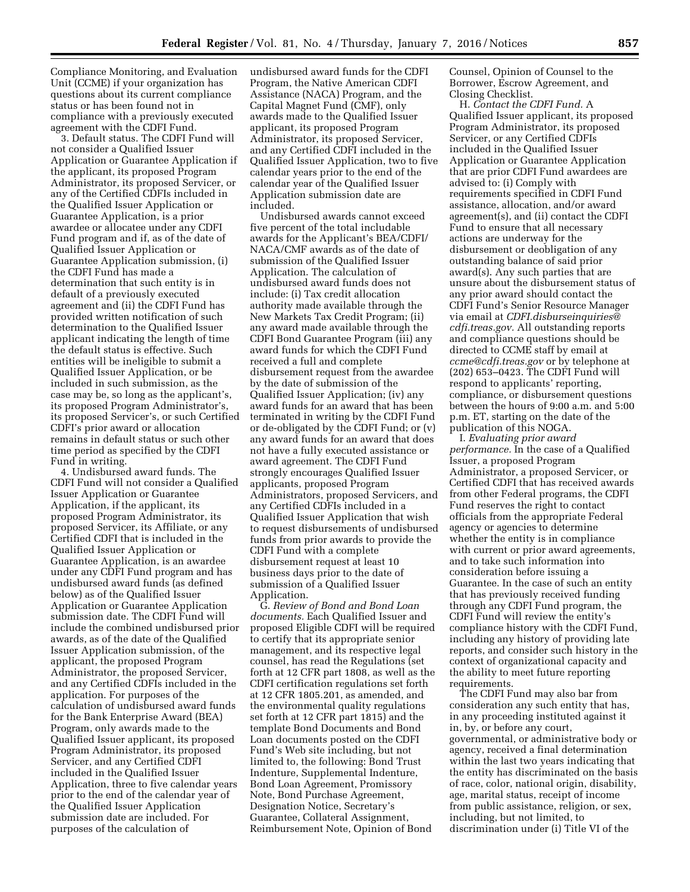Compliance Monitoring, and Evaluation Unit (CCME) if your organization has questions about its current compliance status or has been found not in compliance with a previously executed agreement with the CDFI Fund.

3. Default status. The CDFI Fund will not consider a Qualified Issuer Application or Guarantee Application if the applicant, its proposed Program Administrator, its proposed Servicer, or any of the Certified CDFIs included in the Qualified Issuer Application or Guarantee Application, is a prior awardee or allocatee under any CDFI Fund program and if, as of the date of Qualified Issuer Application or Guarantee Application submission, (i) the CDFI Fund has made a determination that such entity is in default of a previously executed agreement and (ii) the CDFI Fund has provided written notification of such determination to the Qualified Issuer applicant indicating the length of time the default status is effective. Such entities will be ineligible to submit a Qualified Issuer Application, or be included in such submission, as the case may be, so long as the applicant's, its proposed Program Administrator's, its proposed Servicer's, or such Certified CDFI's prior award or allocation remains in default status or such other time period as specified by the CDFI Fund in writing.

4. Undisbursed award funds. The CDFI Fund will not consider a Qualified Issuer Application or Guarantee Application, if the applicant, its proposed Program Administrator, its proposed Servicer, its Affiliate, or any Certified CDFI that is included in the Qualified Issuer Application or Guarantee Application, is an awardee under any CDFI Fund program and has undisbursed award funds (as defined below) as of the Qualified Issuer Application or Guarantee Application submission date. The CDFI Fund will include the combined undisbursed prior awards, as of the date of the Qualified Issuer Application submission, of the applicant, the proposed Program Administrator, the proposed Servicer, and any Certified CDFIs included in the application. For purposes of the calculation of undisbursed award funds for the Bank Enterprise Award (BEA) Program, only awards made to the Qualified Issuer applicant, its proposed Program Administrator, its proposed Servicer, and any Certified CDFI included in the Qualified Issuer Application, three to five calendar years prior to the end of the calendar year of the Qualified Issuer Application submission date are included. For purposes of the calculation of

undisbursed award funds for the CDFI Program, the Native American CDFI Assistance (NACA) Program, and the Capital Magnet Fund (CMF), only awards made to the Qualified Issuer applicant, its proposed Program Administrator, its proposed Servicer, and any Certified CDFI included in the Qualified Issuer Application, two to five calendar years prior to the end of the calendar year of the Qualified Issuer Application submission date are included.

Undisbursed awards cannot exceed five percent of the total includable awards for the Applicant's BEA/CDFI/ NACA/CMF awards as of the date of submission of the Qualified Issuer Application. The calculation of undisbursed award funds does not include: (i) Tax credit allocation authority made available through the New Markets Tax Credit Program; (ii) any award made available through the CDFI Bond Guarantee Program (iii) any award funds for which the CDFI Fund received a full and complete disbursement request from the awardee by the date of submission of the Qualified Issuer Application; (iv) any award funds for an award that has been terminated in writing by the CDFI Fund or de-obligated by the CDFI Fund; or (v) any award funds for an award that does not have a fully executed assistance or award agreement. The CDFI Fund strongly encourages Qualified Issuer applicants, proposed Program Administrators, proposed Servicers, and any Certified CDFIs included in a Qualified Issuer Application that wish to request disbursements of undisbursed funds from prior awards to provide the CDFI Fund with a complete disbursement request at least 10 business days prior to the date of submission of a Qualified Issuer Application.

G. *Review of Bond and Bond Loan documents.* Each Qualified Issuer and proposed Eligible CDFI will be required to certify that its appropriate senior management, and its respective legal counsel, has read the Regulations (set forth at 12 CFR part 1808, as well as the CDFI certification regulations set forth at 12 CFR 1805.201, as amended, and the environmental quality regulations set forth at 12 CFR part 1815) and the template Bond Documents and Bond Loan documents posted on the CDFI Fund's Web site including, but not limited to, the following: Bond Trust Indenture, Supplemental Indenture, Bond Loan Agreement, Promissory Note, Bond Purchase Agreement, Designation Notice, Secretary's Guarantee, Collateral Assignment, Reimbursement Note, Opinion of Bond

Counsel, Opinion of Counsel to the Borrower, Escrow Agreement, and Closing Checklist.

H. *Contact the CDFI Fund.* A Qualified Issuer applicant, its proposed Program Administrator, its proposed Servicer, or any Certified CDFIs included in the Qualified Issuer Application or Guarantee Application that are prior CDFI Fund awardees are advised to: (i) Comply with requirements specified in CDFI Fund assistance, allocation, and/or award agreement(s), and (ii) contact the CDFI Fund to ensure that all necessary actions are underway for the disbursement or deobligation of any outstanding balance of said prior award(s). Any such parties that are unsure about the disbursement status of any prior award should contact the CDFI Fund's Senior Resource Manager via email at *[CDFI.disburseinquiries@](mailto:CDFI.disburseinquiries@cdfi.treas.gov) [cdfi.treas.gov.](mailto:CDFI.disburseinquiries@cdfi.treas.gov)* All outstanding reports and compliance questions should be directed to CCME staff by email at *[ccme@cdfi.treas.gov](mailto:ccme@cdfi.treas.gov)* or by telephone at (202) 653–0423. The CDFI Fund will respond to applicants' reporting, compliance, or disbursement questions between the hours of 9:00 a.m. and 5:00 p.m. ET, starting on the date of the publication of this NOGA.

I. *Evaluating prior award performance.* In the case of a Qualified Issuer, a proposed Program Administrator, a proposed Servicer, or Certified CDFI that has received awards from other Federal programs, the CDFI Fund reserves the right to contact officials from the appropriate Federal agency or agencies to determine whether the entity is in compliance with current or prior award agreements, and to take such information into consideration before issuing a Guarantee. In the case of such an entity that has previously received funding through any CDFI Fund program, the CDFI Fund will review the entity's compliance history with the CDFI Fund, including any history of providing late reports, and consider such history in the context of organizational capacity and the ability to meet future reporting requirements.

The CDFI Fund may also bar from consideration any such entity that has, in any proceeding instituted against it in, by, or before any court, governmental, or administrative body or agency, received a final determination within the last two years indicating that the entity has discriminated on the basis of race, color, national origin, disability, age, marital status, receipt of income from public assistance, religion, or sex, including, but not limited, to discrimination under (i) Title VI of the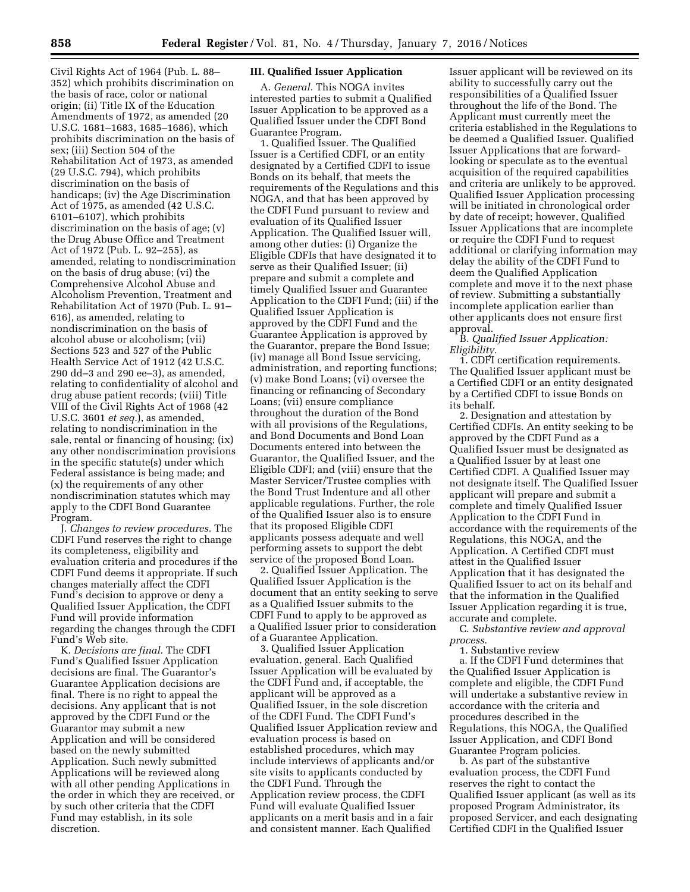Civil Rights Act of 1964 (Pub. L. 88– 352) which prohibits discrimination on the basis of race, color or national origin; (ii) Title IX of the Education Amendments of 1972, as amended (20 U.S.C. 1681–1683, 1685–1686), which prohibits discrimination on the basis of sex; (iii) Section 504 of the Rehabilitation Act of 1973, as amended (29 U.S.C. 794), which prohibits discrimination on the basis of handicaps; (iv) the Age Discrimination Act of 1975, as amended (42 U.S.C. 6101–6107), which prohibits discrimination on the basis of age; (v) the Drug Abuse Office and Treatment Act of 1972 (Pub. L. 92–255), as amended, relating to nondiscrimination on the basis of drug abuse; (vi) the Comprehensive Alcohol Abuse and Alcoholism Prevention, Treatment and Rehabilitation Act of 1970 (Pub. L. 91– 616), as amended, relating to nondiscrimination on the basis of alcohol abuse or alcoholism; (vii) Sections 523 and 527 of the Public Health Service Act of 1912 (42 U.S.C. 290 dd–3 and 290 ee–3), as amended, relating to confidentiality of alcohol and drug abuse patient records; (viii) Title VIII of the Civil Rights Act of 1968 (42 U.S.C. 3601 *et seq.*), as amended, relating to nondiscrimination in the sale, rental or financing of housing; (ix) any other nondiscrimination provisions in the specific statute(s) under which Federal assistance is being made; and (x) the requirements of any other nondiscrimination statutes which may apply to the CDFI Bond Guarantee Program.

J. *Changes to review procedures.* The CDFI Fund reserves the right to change its completeness, eligibility and evaluation criteria and procedures if the CDFI Fund deems it appropriate. If such changes materially affect the CDFI Fund's decision to approve or deny a Qualified Issuer Application, the CDFI Fund will provide information regarding the changes through the CDFI Fund's Web site.

K. *Decisions are final.* The CDFI Fund's Qualified Issuer Application decisions are final. The Guarantor's Guarantee Application decisions are final. There is no right to appeal the decisions. Any applicant that is not approved by the CDFI Fund or the Guarantor may submit a new Application and will be considered based on the newly submitted Application. Such newly submitted Applications will be reviewed along with all other pending Applications in the order in which they are received, or by such other criteria that the CDFI Fund may establish, in its sole discretion.

# **III. Qualified Issuer Application**

A. *General.* This NOGA invites interested parties to submit a Qualified Issuer Application to be approved as a Qualified Issuer under the CDFI Bond Guarantee Program.

1. Qualified Issuer. The Qualified Issuer is a Certified CDFI, or an entity designated by a Certified CDFI to issue Bonds on its behalf, that meets the requirements of the Regulations and this NOGA, and that has been approved by the CDFI Fund pursuant to review and evaluation of its Qualified Issuer Application. The Qualified Issuer will, among other duties: (i) Organize the Eligible CDFIs that have designated it to serve as their Qualified Issuer; (ii) prepare and submit a complete and timely Qualified Issuer and Guarantee Application to the CDFI Fund; (iii) if the Qualified Issuer Application is approved by the CDFI Fund and the Guarantee Application is approved by the Guarantor, prepare the Bond Issue; (iv) manage all Bond Issue servicing, administration, and reporting functions; (v) make Bond Loans; (vi) oversee the financing or refinancing of Secondary Loans; (vii) ensure compliance throughout the duration of the Bond with all provisions of the Regulations, and Bond Documents and Bond Loan Documents entered into between the Guarantor, the Qualified Issuer, and the Eligible CDFI; and (viii) ensure that the Master Servicer/Trustee complies with the Bond Trust Indenture and all other applicable regulations. Further, the role of the Qualified Issuer also is to ensure that its proposed Eligible CDFI applicants possess adequate and well performing assets to support the debt service of the proposed Bond Loan.

2. Qualified Issuer Application. The Qualified Issuer Application is the document that an entity seeking to serve as a Qualified Issuer submits to the CDFI Fund to apply to be approved as a Qualified Issuer prior to consideration of a Guarantee Application.

3. Qualified Issuer Application evaluation, general. Each Qualified Issuer Application will be evaluated by the CDFI Fund and, if acceptable, the applicant will be approved as a Qualified Issuer, in the sole discretion of the CDFI Fund. The CDFI Fund's Qualified Issuer Application review and evaluation process is based on established procedures, which may include interviews of applicants and/or site visits to applicants conducted by the CDFI Fund. Through the Application review process, the CDFI Fund will evaluate Qualified Issuer applicants on a merit basis and in a fair and consistent manner. Each Qualified

Issuer applicant will be reviewed on its ability to successfully carry out the responsibilities of a Qualified Issuer throughout the life of the Bond. The Applicant must currently meet the criteria established in the Regulations to be deemed a Qualified Issuer. Qualified Issuer Applications that are forwardlooking or speculate as to the eventual acquisition of the required capabilities and criteria are unlikely to be approved. Qualified Issuer Application processing will be initiated in chronological order by date of receipt; however, Qualified Issuer Applications that are incomplete or require the CDFI Fund to request additional or clarifying information may delay the ability of the CDFI Fund to deem the Qualified Application complete and move it to the next phase of review. Submitting a substantially incomplete application earlier than other applicants does not ensure first approval.

B. *Qualified Issuer Application: Eligibility.* 

1. CDFI certification requirements. The Qualified Issuer applicant must be a Certified CDFI or an entity designated by a Certified CDFI to issue Bonds on its behalf.

2. Designation and attestation by Certified CDFIs. An entity seeking to be approved by the CDFI Fund as a Qualified Issuer must be designated as a Qualified Issuer by at least one Certified CDFI. A Qualified Issuer may not designate itself. The Qualified Issuer applicant will prepare and submit a complete and timely Qualified Issuer Application to the CDFI Fund in accordance with the requirements of the Regulations, this NOGA, and the Application. A Certified CDFI must attest in the Qualified Issuer Application that it has designated the Qualified Issuer to act on its behalf and that the information in the Qualified Issuer Application regarding it is true, accurate and complete.

C. *Substantive review and approval process.* 

1. Substantive review

a. If the CDFI Fund determines that the Qualified Issuer Application is complete and eligible, the CDFI Fund will undertake a substantive review in accordance with the criteria and procedures described in the Regulations, this NOGA, the Qualified Issuer Application, and CDFI Bond Guarantee Program policies.

b. As part of the substantive evaluation process, the CDFI Fund reserves the right to contact the Qualified Issuer applicant (as well as its proposed Program Administrator, its proposed Servicer, and each designating Certified CDFI in the Qualified Issuer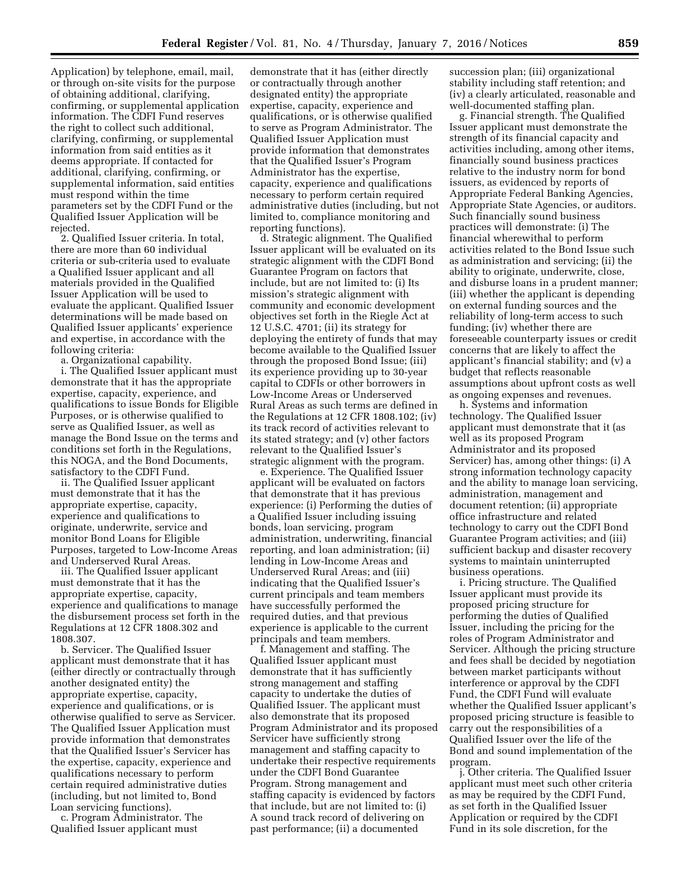Application) by telephone, email, mail, or through on-site visits for the purpose of obtaining additional, clarifying, confirming, or supplemental application information. The CDFI Fund reserves the right to collect such additional, clarifying, confirming, or supplemental information from said entities as it deems appropriate. If contacted for additional, clarifying, confirming, or supplemental information, said entities must respond within the time parameters set by the CDFI Fund or the Qualified Issuer Application will be rejected.

2. Qualified Issuer criteria. In total, there are more than 60 individual criteria or sub-criteria used to evaluate a Qualified Issuer applicant and all materials provided in the Qualified Issuer Application will be used to evaluate the applicant. Qualified Issuer determinations will be made based on Qualified Issuer applicants' experience and expertise, in accordance with the following criteria:

a. Organizational capability.

i. The Qualified Issuer applicant must demonstrate that it has the appropriate expertise, capacity, experience, and qualifications to issue Bonds for Eligible Purposes, or is otherwise qualified to serve as Qualified Issuer, as well as manage the Bond Issue on the terms and conditions set forth in the Regulations, this NOGA, and the Bond Documents, satisfactory to the CDFI Fund.

ii. The Qualified Issuer applicant must demonstrate that it has the appropriate expertise, capacity, experience and qualifications to originate, underwrite, service and monitor Bond Loans for Eligible Purposes, targeted to Low-Income Areas and Underserved Rural Areas.

iii. The Qualified Issuer applicant must demonstrate that it has the appropriate expertise, capacity, experience and qualifications to manage the disbursement process set forth in the Regulations at 12 CFR 1808.302 and 1808.307.

b. Servicer. The Qualified Issuer applicant must demonstrate that it has (either directly or contractually through another designated entity) the appropriate expertise, capacity, experience and qualifications, or is otherwise qualified to serve as Servicer. The Qualified Issuer Application must provide information that demonstrates that the Qualified Issuer's Servicer has the expertise, capacity, experience and qualifications necessary to perform certain required administrative duties (including, but not limited to, Bond Loan servicing functions).

c. Program Administrator. The Qualified Issuer applicant must

demonstrate that it has (either directly or contractually through another designated entity) the appropriate expertise, capacity, experience and qualifications, or is otherwise qualified to serve as Program Administrator. The Qualified Issuer Application must provide information that demonstrates that the Qualified Issuer's Program Administrator has the expertise, capacity, experience and qualifications necessary to perform certain required administrative duties (including, but not limited to, compliance monitoring and reporting functions).

d. Strategic alignment. The Qualified Issuer applicant will be evaluated on its strategic alignment with the CDFI Bond Guarantee Program on factors that include, but are not limited to: (i) Its mission's strategic alignment with community and economic development objectives set forth in the Riegle Act at 12 U.S.C. 4701; (ii) its strategy for deploying the entirety of funds that may become available to the Qualified Issuer through the proposed Bond Issue; (iii) its experience providing up to 30-year capital to CDFIs or other borrowers in Low-Income Areas or Underserved Rural Areas as such terms are defined in the Regulations at 12 CFR 1808.102; (iv) its track record of activities relevant to its stated strategy; and (v) other factors relevant to the Qualified Issuer's strategic alignment with the program.

e. Experience. The Qualified Issuer applicant will be evaluated on factors that demonstrate that it has previous experience: (i) Performing the duties of a Qualified Issuer including issuing bonds, loan servicing, program administration, underwriting, financial reporting, and loan administration; (ii) lending in Low-Income Areas and Underserved Rural Areas; and (iii) indicating that the Qualified Issuer's current principals and team members have successfully performed the required duties, and that previous experience is applicable to the current principals and team members.

f. Management and staffing. The Qualified Issuer applicant must demonstrate that it has sufficiently strong management and staffing capacity to undertake the duties of Qualified Issuer. The applicant must also demonstrate that its proposed Program Administrator and its proposed Servicer have sufficiently strong management and staffing capacity to undertake their respective requirements under the CDFI Bond Guarantee Program. Strong management and staffing capacity is evidenced by factors that include, but are not limited to: (i) A sound track record of delivering on past performance; (ii) a documented

succession plan; (iii) organizational stability including staff retention; and (iv) a clearly articulated, reasonable and well-documented staffing plan.

g. Financial strength. The Qualified Issuer applicant must demonstrate the strength of its financial capacity and activities including, among other items, financially sound business practices relative to the industry norm for bond issuers, as evidenced by reports of Appropriate Federal Banking Agencies, Appropriate State Agencies, or auditors. Such financially sound business practices will demonstrate: (i) The financial wherewithal to perform activities related to the Bond Issue such as administration and servicing; (ii) the ability to originate, underwrite, close, and disburse loans in a prudent manner; (iii) whether the applicant is depending on external funding sources and the reliability of long-term access to such funding; (iv) whether there are foreseeable counterparty issues or credit concerns that are likely to affect the applicant's financial stability; and (v) a budget that reflects reasonable assumptions about upfront costs as well as ongoing expenses and revenues.

h. Systems and information technology. The Qualified Issuer applicant must demonstrate that it (as well as its proposed Program Administrator and its proposed Servicer) has, among other things: (i) A strong information technology capacity and the ability to manage loan servicing, administration, management and document retention; (ii) appropriate office infrastructure and related technology to carry out the CDFI Bond Guarantee Program activities; and (iii) sufficient backup and disaster recovery systems to maintain uninterrupted business operations.

i. Pricing structure. The Qualified Issuer applicant must provide its proposed pricing structure for performing the duties of Qualified Issuer, including the pricing for the roles of Program Administrator and Servicer. Although the pricing structure and fees shall be decided by negotiation between market participants without interference or approval by the CDFI Fund, the CDFI Fund will evaluate whether the Qualified Issuer applicant's proposed pricing structure is feasible to carry out the responsibilities of a Qualified Issuer over the life of the Bond and sound implementation of the program.

j. Other criteria. The Qualified Issuer applicant must meet such other criteria as may be required by the CDFI Fund, as set forth in the Qualified Issuer Application or required by the CDFI Fund in its sole discretion, for the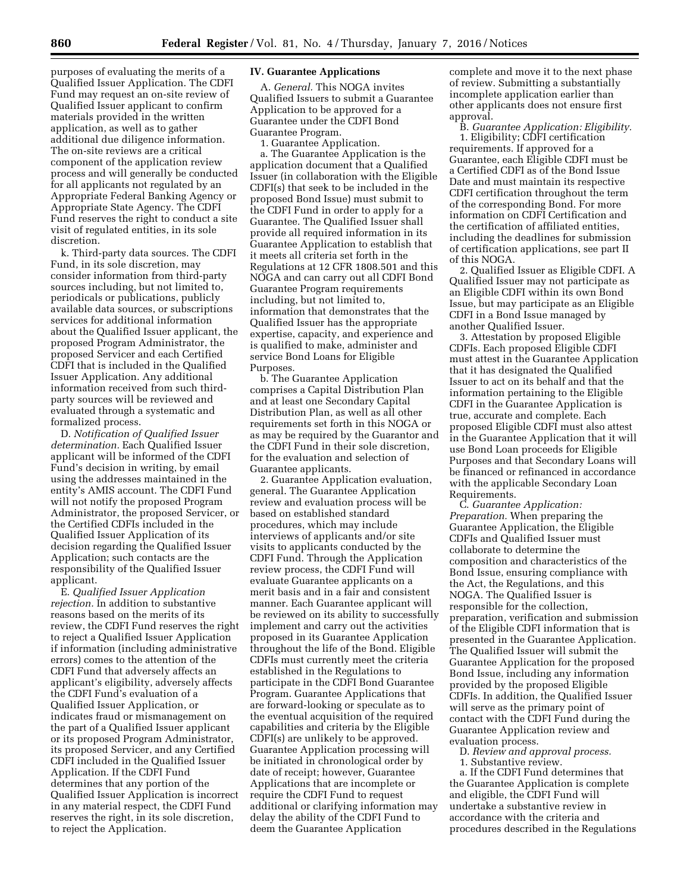purposes of evaluating the merits of a Qualified Issuer Application. The CDFI Fund may request an on-site review of Qualified Issuer applicant to confirm materials provided in the written application, as well as to gather additional due diligence information. The on-site reviews are a critical component of the application review process and will generally be conducted for all applicants not regulated by an Appropriate Federal Banking Agency or Appropriate State Agency. The CDFI Fund reserves the right to conduct a site visit of regulated entities, in its sole discretion.

k. Third-party data sources. The CDFI Fund, in its sole discretion, may consider information from third-party sources including, but not limited to, periodicals or publications, publicly available data sources, or subscriptions services for additional information about the Qualified Issuer applicant, the proposed Program Administrator, the proposed Servicer and each Certified CDFI that is included in the Qualified Issuer Application. Any additional information received from such thirdparty sources will be reviewed and evaluated through a systematic and formalized process.

D. *Notification of Qualified Issuer determination.* Each Qualified Issuer applicant will be informed of the CDFI Fund's decision in writing, by email using the addresses maintained in the entity's AMIS account. The CDFI Fund will not notify the proposed Program Administrator, the proposed Servicer, or the Certified CDFIs included in the Qualified Issuer Application of its decision regarding the Qualified Issuer Application; such contacts are the responsibility of the Qualified Issuer applicant.

E. *Qualified Issuer Application rejection.* In addition to substantive reasons based on the merits of its review, the CDFI Fund reserves the right to reject a Qualified Issuer Application if information (including administrative errors) comes to the attention of the CDFI Fund that adversely affects an applicant's eligibility, adversely affects the CDFI Fund's evaluation of a Qualified Issuer Application, or indicates fraud or mismanagement on the part of a Qualified Issuer applicant or its proposed Program Administrator, its proposed Servicer, and any Certified CDFI included in the Qualified Issuer Application. If the CDFI Fund determines that any portion of the Qualified Issuer Application is incorrect in any material respect, the CDFI Fund reserves the right, in its sole discretion, to reject the Application.

## **IV. Guarantee Applications**

A. *General.* This NOGA invites Qualified Issuers to submit a Guarantee Application to be approved for a Guarantee under the CDFI Bond Guarantee Program.

1. Guarantee Application.

a. The Guarantee Application is the application document that a Qualified Issuer (in collaboration with the Eligible CDFI(s) that seek to be included in the proposed Bond Issue) must submit to the CDFI Fund in order to apply for a Guarantee. The Qualified Issuer shall provide all required information in its Guarantee Application to establish that it meets all criteria set forth in the Regulations at 12 CFR 1808.501 and this NOGA and can carry out all CDFI Bond Guarantee Program requirements including, but not limited to, information that demonstrates that the Qualified Issuer has the appropriate expertise, capacity, and experience and is qualified to make, administer and service Bond Loans for Eligible Purposes.

b. The Guarantee Application comprises a Capital Distribution Plan and at least one Secondary Capital Distribution Plan, as well as all other requirements set forth in this NOGA or as may be required by the Guarantor and the CDFI Fund in their sole discretion, for the evaluation and selection of Guarantee applicants.

2. Guarantee Application evaluation, general. The Guarantee Application review and evaluation process will be based on established standard procedures, which may include interviews of applicants and/or site visits to applicants conducted by the CDFI Fund. Through the Application review process, the CDFI Fund will evaluate Guarantee applicants on a merit basis and in a fair and consistent manner. Each Guarantee applicant will be reviewed on its ability to successfully implement and carry out the activities proposed in its Guarantee Application throughout the life of the Bond. Eligible CDFIs must currently meet the criteria established in the Regulations to participate in the CDFI Bond Guarantee Program. Guarantee Applications that are forward-looking or speculate as to the eventual acquisition of the required capabilities and criteria by the Eligible CDFI(s) are unlikely to be approved. Guarantee Application processing will be initiated in chronological order by date of receipt; however, Guarantee Applications that are incomplete or require the CDFI Fund to request additional or clarifying information may delay the ability of the CDFI Fund to deem the Guarantee Application

complete and move it to the next phase of review. Submitting a substantially incomplete application earlier than other applicants does not ensure first approval.

B. *Guarantee Application: Eligibility.*  1. Eligibility; CDFI certification requirements. If approved for a Guarantee, each Eligible CDFI must be a Certified CDFI as of the Bond Issue Date and must maintain its respective CDFI certification throughout the term of the corresponding Bond. For more information on CDFI Certification and the certification of affiliated entities, including the deadlines for submission of certification applications, see part II of this NOGA.

2. Qualified Issuer as Eligible CDFI. A Qualified Issuer may not participate as an Eligible CDFI within its own Bond Issue, but may participate as an Eligible CDFI in a Bond Issue managed by another Qualified Issuer.

3. Attestation by proposed Eligible CDFIs. Each proposed Eligible CDFI must attest in the Guarantee Application that it has designated the Qualified Issuer to act on its behalf and that the information pertaining to the Eligible CDFI in the Guarantee Application is true, accurate and complete. Each proposed Eligible CDFI must also attest in the Guarantee Application that it will use Bond Loan proceeds for Eligible Purposes and that Secondary Loans will be financed or refinanced in accordance with the applicable Secondary Loan Requirements.

C. *Guarantee Application: Preparation.* When preparing the Guarantee Application, the Eligible CDFIs and Qualified Issuer must collaborate to determine the composition and characteristics of the Bond Issue, ensuring compliance with the Act, the Regulations, and this NOGA. The Qualified Issuer is responsible for the collection, preparation, verification and submission of the Eligible CDFI information that is presented in the Guarantee Application. The Qualified Issuer will submit the Guarantee Application for the proposed Bond Issue, including any information provided by the proposed Eligible CDFIs. In addition, the Qualified Issuer will serve as the primary point of contact with the CDFI Fund during the Guarantee Application review and evaluation process.

D. *Review and approval process.* 

1. Substantive review.

a. If the CDFI Fund determines that the Guarantee Application is complete and eligible, the CDFI Fund will undertake a substantive review in accordance with the criteria and procedures described in the Regulations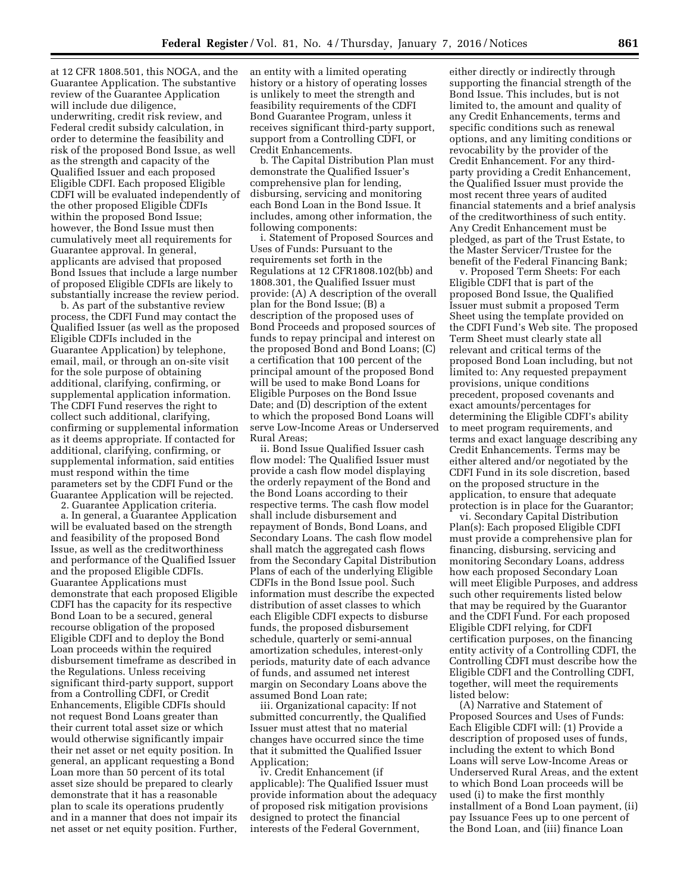at 12 CFR 1808.501, this NOGA, and the Guarantee Application. The substantive review of the Guarantee Application will include due diligence, underwriting, credit risk review, and Federal credit subsidy calculation, in order to determine the feasibility and risk of the proposed Bond Issue, as well as the strength and capacity of the Qualified Issuer and each proposed Eligible CDFI. Each proposed Eligible CDFI will be evaluated independently of the other proposed Eligible CDFIs within the proposed Bond Issue; however, the Bond Issue must then cumulatively meet all requirements for Guarantee approval. In general, applicants are advised that proposed Bond Issues that include a large number of proposed Eligible CDFIs are likely to substantially increase the review period.

b. As part of the substantive review process, the CDFI Fund may contact the Qualified Issuer (as well as the proposed Eligible CDFIs included in the Guarantee Application) by telephone, email, mail, or through an on-site visit for the sole purpose of obtaining additional, clarifying, confirming, or supplemental application information. The CDFI Fund reserves the right to collect such additional, clarifying, confirming or supplemental information as it deems appropriate. If contacted for additional, clarifying, confirming, or supplemental information, said entities must respond within the time parameters set by the CDFI Fund or the Guarantee Application will be rejected.

2. Guarantee Application criteria.

a. In general, a Guarantee Application will be evaluated based on the strength and feasibility of the proposed Bond Issue, as well as the creditworthiness and performance of the Qualified Issuer and the proposed Eligible CDFIs. Guarantee Applications must demonstrate that each proposed Eligible CDFI has the capacity for its respective Bond Loan to be a secured, general recourse obligation of the proposed Eligible CDFI and to deploy the Bond Loan proceeds within the required disbursement timeframe as described in the Regulations. Unless receiving significant third-party support, support from a Controlling CDFI, or Credit Enhancements, Eligible CDFIs should not request Bond Loans greater than their current total asset size or which would otherwise significantly impair their net asset or net equity position. In general, an applicant requesting a Bond Loan more than 50 percent of its total asset size should be prepared to clearly demonstrate that it has a reasonable plan to scale its operations prudently and in a manner that does not impair its net asset or net equity position. Further,

an entity with a limited operating history or a history of operating losses is unlikely to meet the strength and feasibility requirements of the CDFI Bond Guarantee Program, unless it receives significant third-party support, support from a Controlling CDFI, or Credit Enhancements.

b. The Capital Distribution Plan must demonstrate the Qualified Issuer's comprehensive plan for lending, disbursing, servicing and monitoring each Bond Loan in the Bond Issue. It includes, among other information, the following components:

i. Statement of Proposed Sources and Uses of Funds: Pursuant to the requirements set forth in the Regulations at 12 CFR1808.102(bb) and 1808.301, the Qualified Issuer must provide: (A) A description of the overall plan for the Bond Issue; (B) a description of the proposed uses of Bond Proceeds and proposed sources of funds to repay principal and interest on the proposed Bond and Bond Loans; (C) a certification that 100 percent of the principal amount of the proposed Bond will be used to make Bond Loans for Eligible Purposes on the Bond Issue Date; and (D) description of the extent to which the proposed Bond Loans will serve Low-Income Areas or Underserved Rural Areas;

ii. Bond Issue Qualified Issuer cash flow model: The Qualified Issuer must provide a cash flow model displaying the orderly repayment of the Bond and the Bond Loans according to their respective terms. The cash flow model shall include disbursement and repayment of Bonds, Bond Loans, and Secondary Loans. The cash flow model shall match the aggregated cash flows from the Secondary Capital Distribution Plans of each of the underlying Eligible CDFIs in the Bond Issue pool. Such information must describe the expected distribution of asset classes to which each Eligible CDFI expects to disburse funds, the proposed disbursement schedule, quarterly or semi-annual amortization schedules, interest-only periods, maturity date of each advance of funds, and assumed net interest margin on Secondary Loans above the assumed Bond Loan rate;

iii. Organizational capacity: If not submitted concurrently, the Qualified Issuer must attest that no material changes have occurred since the time that it submitted the Qualified Issuer Application;

iv. Credit Enhancement (if applicable): The Qualified Issuer must provide information about the adequacy of proposed risk mitigation provisions designed to protect the financial interests of the Federal Government,

either directly or indirectly through supporting the financial strength of the Bond Issue. This includes, but is not limited to, the amount and quality of any Credit Enhancements, terms and specific conditions such as renewal options, and any limiting conditions or revocability by the provider of the Credit Enhancement. For any thirdparty providing a Credit Enhancement, the Qualified Issuer must provide the most recent three years of audited financial statements and a brief analysis of the creditworthiness of such entity. Any Credit Enhancement must be pledged, as part of the Trust Estate, to the Master Servicer/Trustee for the benefit of the Federal Financing Bank;

v. Proposed Term Sheets: For each Eligible CDFI that is part of the proposed Bond Issue, the Qualified Issuer must submit a proposed Term Sheet using the template provided on the CDFI Fund's Web site. The proposed Term Sheet must clearly state all relevant and critical terms of the proposed Bond Loan including, but not limited to: Any requested prepayment provisions, unique conditions precedent, proposed covenants and exact amounts/percentages for determining the Eligible CDFI's ability to meet program requirements, and terms and exact language describing any Credit Enhancements. Terms may be either altered and/or negotiated by the CDFI Fund in its sole discretion, based on the proposed structure in the application, to ensure that adequate protection is in place for the Guarantor;

vi. Secondary Capital Distribution Plan(s): Each proposed Eligible CDFI must provide a comprehensive plan for financing, disbursing, servicing and monitoring Secondary Loans, address how each proposed Secondary Loan will meet Eligible Purposes, and address such other requirements listed below that may be required by the Guarantor and the CDFI Fund. For each proposed Eligible CDFI relying, for CDFI certification purposes, on the financing entity activity of a Controlling CDFI, the Controlling CDFI must describe how the Eligible CDFI and the Controlling CDFI, together, will meet the requirements listed below:

(A) Narrative and Statement of Proposed Sources and Uses of Funds: Each Eligible CDFI will: (1) Provide a description of proposed uses of funds, including the extent to which Bond Loans will serve Low-Income Areas or Underserved Rural Areas, and the extent to which Bond Loan proceeds will be used (i) to make the first monthly installment of a Bond Loan payment, (ii) pay Issuance Fees up to one percent of the Bond Loan, and (iii) finance Loan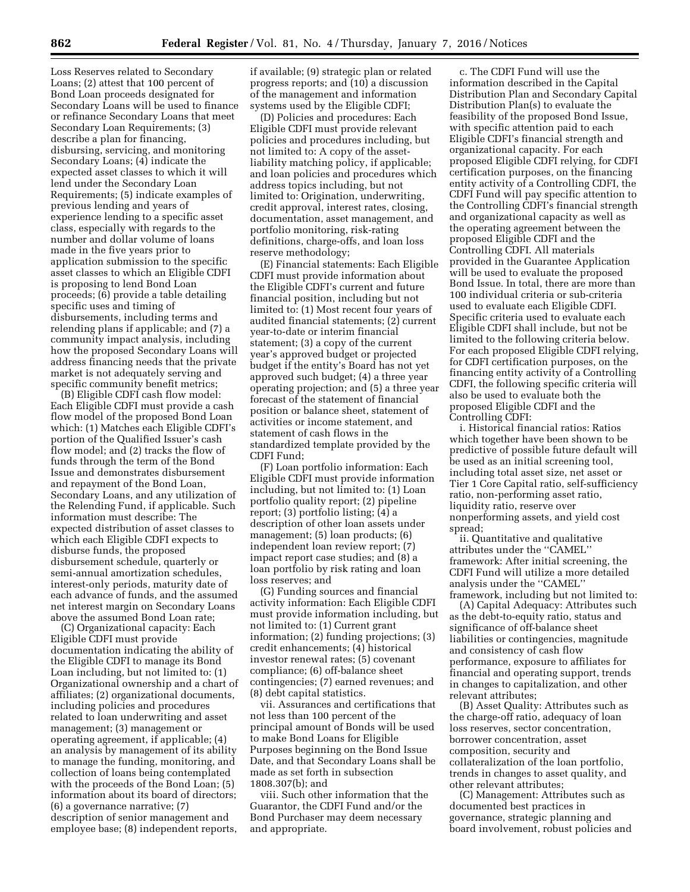Loss Reserves related to Secondary Loans; (2) attest that 100 percent of Bond Loan proceeds designated for Secondary Loans will be used to finance or refinance Secondary Loans that meet Secondary Loan Requirements; (3) describe a plan for financing, disbursing, servicing, and monitoring Secondary Loans; (4) indicate the expected asset classes to which it will lend under the Secondary Loan Requirements; (5) indicate examples of previous lending and years of experience lending to a specific asset class, especially with regards to the number and dollar volume of loans made in the five years prior to application submission to the specific asset classes to which an Eligible CDFI is proposing to lend Bond Loan proceeds; (6) provide a table detailing specific uses and timing of disbursements, including terms and relending plans if applicable; and (7) a community impact analysis, including how the proposed Secondary Loans will address financing needs that the private market is not adequately serving and specific community benefit metrics;

(B) Eligible CDFI cash flow model: Each Eligible CDFI must provide a cash flow model of the proposed Bond Loan which: (1) Matches each Eligible CDFI's portion of the Qualified Issuer's cash flow model; and (2) tracks the flow of funds through the term of the Bond Issue and demonstrates disbursement and repayment of the Bond Loan, Secondary Loans, and any utilization of the Relending Fund, if applicable. Such information must describe: The expected distribution of asset classes to which each Eligible CDFI expects to disburse funds, the proposed disbursement schedule, quarterly or semi-annual amortization schedules, interest-only periods, maturity date of each advance of funds, and the assumed net interest margin on Secondary Loans above the assumed Bond Loan rate;

(C) Organizational capacity: Each Eligible CDFI must provide documentation indicating the ability of the Eligible CDFI to manage its Bond Loan including, but not limited to: (1) Organizational ownership and a chart of affiliates; (2) organizational documents, including policies and procedures related to loan underwriting and asset management; (3) management or operating agreement, if applicable; (4) an analysis by management of its ability to manage the funding, monitoring, and collection of loans being contemplated with the proceeds of the Bond Loan; (5) information about its board of directors; (6) a governance narrative; (7) description of senior management and employee base; (8) independent reports,

if available; (9) strategic plan or related progress reports; and (10) a discussion of the management and information systems used by the Eligible CDFI;

(D) Policies and procedures: Each Eligible CDFI must provide relevant policies and procedures including, but not limited to: A copy of the assetliability matching policy, if applicable; and loan policies and procedures which address topics including, but not limited to: Origination, underwriting, credit approval, interest rates, closing, documentation, asset management, and portfolio monitoring, risk-rating definitions, charge-offs, and loan loss reserve methodology;

(E) Financial statements: Each Eligible CDFI must provide information about the Eligible CDFI's current and future financial position, including but not limited to: (1) Most recent four years of audited financial statements; (2) current year-to-date or interim financial statement; (3) a copy of the current year's approved budget or projected budget if the entity's Board has not yet approved such budget; (4) a three year operating projection; and (5) a three year forecast of the statement of financial position or balance sheet, statement of activities or income statement, and statement of cash flows in the standardized template provided by the CDFI Fund;

(F) Loan portfolio information: Each Eligible CDFI must provide information including, but not limited to: (1) Loan portfolio quality report; (2) pipeline report; (3) portfolio listing; (4) a description of other loan assets under management; (5) loan products; (6) independent loan review report; (7) impact report case studies; and (8) a loan portfolio by risk rating and loan loss reserves; and

(G) Funding sources and financial activity information: Each Eligible CDFI must provide information including, but not limited to: (1) Current grant information; (2) funding projections; (3) credit enhancements; (4) historical investor renewal rates; (5) covenant compliance; (6) off-balance sheet contingencies; (7) earned revenues; and (8) debt capital statistics.

vii. Assurances and certifications that not less than 100 percent of the principal amount of Bonds will be used to make Bond Loans for Eligible Purposes beginning on the Bond Issue Date, and that Secondary Loans shall be made as set forth in subsection 1808.307(b); and

viii. Such other information that the Guarantor, the CDFI Fund and/or the Bond Purchaser may deem necessary and appropriate.

c. The CDFI Fund will use the information described in the Capital Distribution Plan and Secondary Capital Distribution Plan(s) to evaluate the feasibility of the proposed Bond Issue, with specific attention paid to each Eligible CDFI's financial strength and organizational capacity. For each proposed Eligible CDFI relying, for CDFI certification purposes, on the financing entity activity of a Controlling CDFI, the CDFI Fund will pay specific attention to the Controlling CDFI's financial strength and organizational capacity as well as the operating agreement between the proposed Eligible CDFI and the Controlling CDFI. All materials provided in the Guarantee Application will be used to evaluate the proposed Bond Issue. In total, there are more than 100 individual criteria or sub-criteria used to evaluate each Eligible CDFI. Specific criteria used to evaluate each Eligible CDFI shall include, but not be limited to the following criteria below. For each proposed Eligible CDFI relying, for CDFI certification purposes, on the financing entity activity of a Controlling CDFI, the following specific criteria will also be used to evaluate both the proposed Eligible CDFI and the Controlling CDFI:

i. Historical financial ratios: Ratios which together have been shown to be predictive of possible future default will be used as an initial screening tool, including total asset size, net asset or Tier 1 Core Capital ratio, self-sufficiency ratio, non-performing asset ratio, liquidity ratio, reserve over nonperforming assets, and yield cost spread;

ii. Quantitative and qualitative attributes under the ''CAMEL'' framework: After initial screening, the CDFI Fund will utilize a more detailed analysis under the ''CAMEL'' framework, including but not limited to:

(A) Capital Adequacy: Attributes such as the debt-to-equity ratio, status and significance of off-balance sheet liabilities or contingencies, magnitude and consistency of cash flow performance, exposure to affiliates for financial and operating support, trends in changes to capitalization, and other relevant attributes;

(B) Asset Quality: Attributes such as the charge-off ratio, adequacy of loan loss reserves, sector concentration, borrower concentration, asset composition, security and collateralization of the loan portfolio, trends in changes to asset quality, and other relevant attributes;

(C) Management: Attributes such as documented best practices in governance, strategic planning and board involvement, robust policies and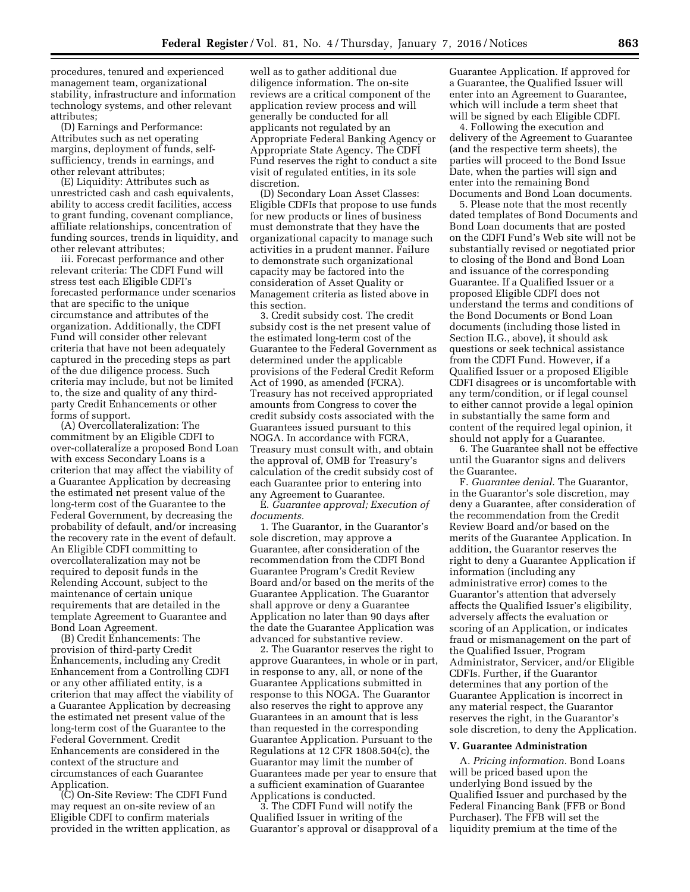procedures, tenured and experienced management team, organizational stability, infrastructure and information technology systems, and other relevant attributes;

(D) Earnings and Performance: Attributes such as net operating margins, deployment of funds, selfsufficiency, trends in earnings, and other relevant attributes;

(E) Liquidity: Attributes such as unrestricted cash and cash equivalents, ability to access credit facilities, access to grant funding, covenant compliance, affiliate relationships, concentration of funding sources, trends in liquidity, and other relevant attributes;

iii. Forecast performance and other relevant criteria: The CDFI Fund will stress test each Eligible CDFI's forecasted performance under scenarios that are specific to the unique circumstance and attributes of the organization. Additionally, the CDFI Fund will consider other relevant criteria that have not been adequately captured in the preceding steps as part of the due diligence process. Such criteria may include, but not be limited to, the size and quality of any thirdparty Credit Enhancements or other forms of support.

(A) Overcollateralization: The commitment by an Eligible CDFI to over-collateralize a proposed Bond Loan with excess Secondary Loans is a criterion that may affect the viability of a Guarantee Application by decreasing the estimated net present value of the long-term cost of the Guarantee to the Federal Government, by decreasing the probability of default, and/or increasing the recovery rate in the event of default. An Eligible CDFI committing to overcollateralization may not be required to deposit funds in the Relending Account, subject to the maintenance of certain unique requirements that are detailed in the template Agreement to Guarantee and Bond Loan Agreement.

(B) Credit Enhancements: The provision of third-party Credit Enhancements, including any Credit Enhancement from a Controlling CDFI or any other affiliated entity, is a criterion that may affect the viability of a Guarantee Application by decreasing the estimated net present value of the long-term cost of the Guarantee to the Federal Government. Credit Enhancements are considered in the context of the structure and circumstances of each Guarantee Application.

(C) On-Site Review: The CDFI Fund may request an on-site review of an Eligible CDFI to confirm materials provided in the written application, as

well as to gather additional due diligence information. The on-site reviews are a critical component of the application review process and will generally be conducted for all applicants not regulated by an Appropriate Federal Banking Agency or Appropriate State Agency. The CDFI Fund reserves the right to conduct a site visit of regulated entities, in its sole discretion.

(D) Secondary Loan Asset Classes: Eligible CDFIs that propose to use funds for new products or lines of business must demonstrate that they have the organizational capacity to manage such activities in a prudent manner. Failure to demonstrate such organizational capacity may be factored into the consideration of Asset Quality or Management criteria as listed above in this section.

3. Credit subsidy cost. The credit subsidy cost is the net present value of the estimated long-term cost of the Guarantee to the Federal Government as determined under the applicable provisions of the Federal Credit Reform Act of 1990, as amended (FCRA). Treasury has not received appropriated amounts from Congress to cover the credit subsidy costs associated with the Guarantees issued pursuant to this NOGA. In accordance with FCRA, Treasury must consult with, and obtain the approval of, OMB for Treasury's calculation of the credit subsidy cost of each Guarantee prior to entering into any Agreement to Guarantee.

E. *Guarantee approval; Execution of documents.* 

1. The Guarantor, in the Guarantor's sole discretion, may approve a Guarantee, after consideration of the recommendation from the CDFI Bond Guarantee Program's Credit Review Board and/or based on the merits of the Guarantee Application. The Guarantor shall approve or deny a Guarantee Application no later than 90 days after the date the Guarantee Application was advanced for substantive review.

2. The Guarantor reserves the right to approve Guarantees, in whole or in part, in response to any, all, or none of the Guarantee Applications submitted in response to this NOGA. The Guarantor also reserves the right to approve any Guarantees in an amount that is less than requested in the corresponding Guarantee Application. Pursuant to the Regulations at 12 CFR 1808.504(c), the Guarantor may limit the number of Guarantees made per year to ensure that a sufficient examination of Guarantee Applications is conducted.

3. The CDFI Fund will notify the Qualified Issuer in writing of the Guarantor's approval or disapproval of a Guarantee Application. If approved for a Guarantee, the Qualified Issuer will enter into an Agreement to Guarantee, which will include a term sheet that will be signed by each Eligible CDFI.

4. Following the execution and delivery of the Agreement to Guarantee (and the respective term sheets), the parties will proceed to the Bond Issue Date, when the parties will sign and enter into the remaining Bond Documents and Bond Loan documents.

5. Please note that the most recently dated templates of Bond Documents and Bond Loan documents that are posted on the CDFI Fund's Web site will not be substantially revised or negotiated prior to closing of the Bond and Bond Loan and issuance of the corresponding Guarantee. If a Qualified Issuer or a proposed Eligible CDFI does not understand the terms and conditions of the Bond Documents or Bond Loan documents (including those listed in Section II.G., above), it should ask questions or seek technical assistance from the CDFI Fund. However, if a Qualified Issuer or a proposed Eligible CDFI disagrees or is uncomfortable with any term/condition, or if legal counsel to either cannot provide a legal opinion in substantially the same form and content of the required legal opinion, it should not apply for a Guarantee.

6. The Guarantee shall not be effective until the Guarantor signs and delivers the Guarantee.

F. *Guarantee denial.* The Guarantor, in the Guarantor's sole discretion, may deny a Guarantee, after consideration of the recommendation from the Credit Review Board and/or based on the merits of the Guarantee Application. In addition, the Guarantor reserves the right to deny a Guarantee Application if information (including any administrative error) comes to the Guarantor's attention that adversely affects the Qualified Issuer's eligibility, adversely affects the evaluation or scoring of an Application, or indicates fraud or mismanagement on the part of the Qualified Issuer, Program Administrator, Servicer, and/or Eligible CDFIs. Further, if the Guarantor determines that any portion of the Guarantee Application is incorrect in any material respect, the Guarantor reserves the right, in the Guarantor's sole discretion, to deny the Application.

#### **V. Guarantee Administration**

A. *Pricing information.* Bond Loans will be priced based upon the underlying Bond issued by the Qualified Issuer and purchased by the Federal Financing Bank (FFB or Bond Purchaser). The FFB will set the liquidity premium at the time of the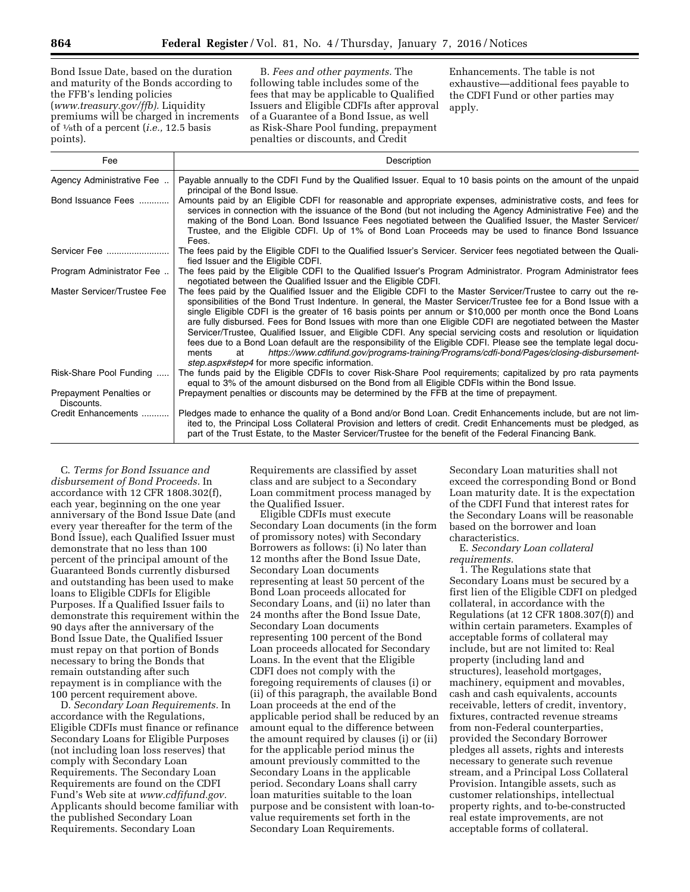Bond Issue Date, based on the duration and maturity of the Bonds according to the FFB's lending policies (*[www.treasury.gov/ffb\).](http://www.treasury.gov/ffb)* Liquidity premiums will be charged in increments of 1⁄8th of a percent (*i.e.,* 12.5 basis points).

B. *Fees and other payments.* The following table includes some of the fees that may be applicable to Qualified Issuers and Eligible CDFIs after approval of a Guarantee of a Bond Issue, as well as Risk-Share Pool funding, prepayment penalties or discounts, and Credit

Enhancements. The table is not exhaustive—additional fees payable to the CDFI Fund or other parties may apply.

| Fee                                   | Description                                                                                                                                                                                                                                                                                                                                                                                                                                                                                                                                                                                                                                                                                                                                                                                                                                                            |  |
|---------------------------------------|------------------------------------------------------------------------------------------------------------------------------------------------------------------------------------------------------------------------------------------------------------------------------------------------------------------------------------------------------------------------------------------------------------------------------------------------------------------------------------------------------------------------------------------------------------------------------------------------------------------------------------------------------------------------------------------------------------------------------------------------------------------------------------------------------------------------------------------------------------------------|--|
| Agency Administrative Fee             | Payable annually to the CDFI Fund by the Qualified Issuer. Equal to 10 basis points on the amount of the unpaid<br>principal of the Bond Issue.                                                                                                                                                                                                                                                                                                                                                                                                                                                                                                                                                                                                                                                                                                                        |  |
| Bond Issuance Fees                    | Amounts paid by an Eligible CDFI for reasonable and appropriate expenses, administrative costs, and fees for<br>services in connection with the issuance of the Bond (but not including the Agency Administrative Fee) and the<br>making of the Bond Loan. Bond Issuance Fees negotiated between the Qualified Issuer, the Master Servicer/<br>Trustee, and the Eligible CDFI. Up of 1% of Bond Loan Proceeds may be used to finance Bond Issuance<br>Fees.                                                                                                                                                                                                                                                                                                                                                                                                            |  |
| Servicer Fee                          | The fees paid by the Eligible CDFI to the Qualified Issuer's Servicer. Servicer fees negotiated between the Quali-<br>fied Issuer and the Eligible CDFI.                                                                                                                                                                                                                                                                                                                                                                                                                                                                                                                                                                                                                                                                                                               |  |
| Program Administrator Fee             | The fees paid by the Eligible CDFI to the Qualified Issuer's Program Administrator. Program Administrator fees<br>negotiated between the Qualified Issuer and the Eligible CDFI.                                                                                                                                                                                                                                                                                                                                                                                                                                                                                                                                                                                                                                                                                       |  |
| Master Servicer/Trustee Fee           | The fees paid by the Qualified Issuer and the Eligible CDFI to the Master Servicer/Trustee to carry out the re-<br>sponsibilities of the Bond Trust Indenture. In general, the Master Servicer/Trustee fee for a Bond Issue with a<br>single Eligible CDFI is the greater of 16 basis points per annum or \$10,000 per month once the Bond Loans<br>are fully disbursed. Fees for Bond Issues with more than one Eligible CDFI are negotiated between the Master<br>Servicer/Trustee, Qualified Issuer, and Eligible CDFI. Any special servicing costs and resolution or liquidation<br>fees due to a Bond Loan default are the responsibility of the Eligible CDFI. Please see the template legal docu-<br>https://www.cdfifund.gov/programs-training/Programs/cdfi-bond/Pages/closing-disbursement-<br>ments<br>at<br>step.aspx#step4 for more specific information. |  |
| Risk-Share Pool Funding               | The funds paid by the Eligible CDFIs to cover Risk-Share Pool requirements; capitalized by pro rata payments<br>equal to 3% of the amount disbursed on the Bond from all Eligible CDFIs within the Bond Issue.                                                                                                                                                                                                                                                                                                                                                                                                                                                                                                                                                                                                                                                         |  |
| Prepayment Penalties or<br>Discounts. | Prepayment penalties or discounts may be determined by the FFB at the time of prepayment.                                                                                                                                                                                                                                                                                                                                                                                                                                                                                                                                                                                                                                                                                                                                                                              |  |
| Credit Enhancements                   | Pledges made to enhance the quality of a Bond and/or Bond Loan. Credit Enhancements include, but are not lim-<br>ited to, the Principal Loss Collateral Provision and letters of credit. Credit Enhancements must be pledged, as<br>part of the Trust Estate, to the Master Servicer/Trustee for the benefit of the Federal Financing Bank.                                                                                                                                                                                                                                                                                                                                                                                                                                                                                                                            |  |

C. *Terms for Bond Issuance and disbursement of Bond Proceeds.* In accordance with 12 CFR 1808.302(f), each year, beginning on the one year anniversary of the Bond Issue Date (and every year thereafter for the term of the Bond Issue), each Qualified Issuer must demonstrate that no less than 100 percent of the principal amount of the Guaranteed Bonds currently disbursed and outstanding has been used to make loans to Eligible CDFIs for Eligible Purposes. If a Qualified Issuer fails to demonstrate this requirement within the 90 days after the anniversary of the Bond Issue Date, the Qualified Issuer must repay on that portion of Bonds necessary to bring the Bonds that remain outstanding after such repayment is in compliance with the 100 percent requirement above.

D. *Secondary Loan Requirements.* In accordance with the Regulations, Eligible CDFIs must finance or refinance Secondary Loans for Eligible Purposes (not including loan loss reserves) that comply with Secondary Loan Requirements. The Secondary Loan Requirements are found on the CDFI Fund's Web site at *[www.cdfifund.gov.](http://www.cdfifund.gov)*  Applicants should become familiar with the published Secondary Loan Requirements. Secondary Loan

Requirements are classified by asset class and are subject to a Secondary Loan commitment process managed by the Qualified Issuer.

Eligible CDFIs must execute Secondary Loan documents (in the form of promissory notes) with Secondary Borrowers as follows: (i) No later than 12 months after the Bond Issue Date, Secondary Loan documents representing at least 50 percent of the Bond Loan proceeds allocated for Secondary Loans, and (ii) no later than 24 months after the Bond Issue Date, Secondary Loan documents representing 100 percent of the Bond Loan proceeds allocated for Secondary Loans. In the event that the Eligible CDFI does not comply with the foregoing requirements of clauses (i) or (ii) of this paragraph, the available Bond Loan proceeds at the end of the applicable period shall be reduced by an amount equal to the difference between the amount required by clauses (i) or (ii) for the applicable period minus the amount previously committed to the Secondary Loans in the applicable period. Secondary Loans shall carry loan maturities suitable to the loan purpose and be consistent with loan-tovalue requirements set forth in the Secondary Loan Requirements.

Secondary Loan maturities shall not exceed the corresponding Bond or Bond Loan maturity date. It is the expectation of the CDFI Fund that interest rates for the Secondary Loans will be reasonable based on the borrower and loan characteristics.

E. *Secondary Loan collateral requirements.* 

1. The Regulations state that Secondary Loans must be secured by a first lien of the Eligible CDFI on pledged collateral, in accordance with the Regulations (at 12 CFR 1808.307(f)) and within certain parameters. Examples of acceptable forms of collateral may include, but are not limited to: Real property (including land and structures), leasehold mortgages, machinery, equipment and movables, cash and cash equivalents, accounts receivable, letters of credit, inventory, fixtures, contracted revenue streams from non-Federal counterparties, provided the Secondary Borrower pledges all assets, rights and interests necessary to generate such revenue stream, and a Principal Loss Collateral Provision. Intangible assets, such as customer relationships, intellectual property rights, and to-be-constructed real estate improvements, are not acceptable forms of collateral.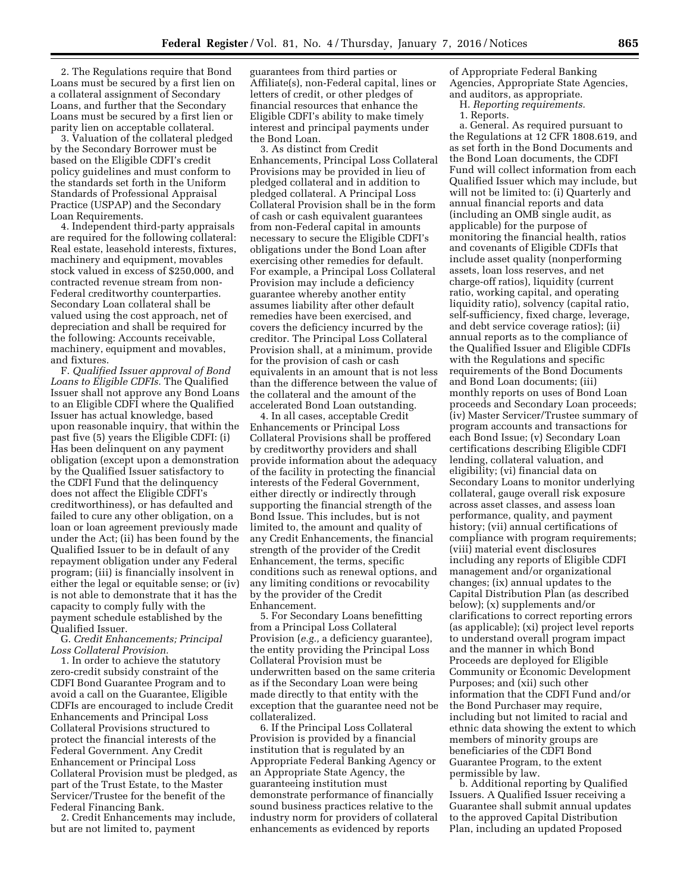2. The Regulations require that Bond Loans must be secured by a first lien on a collateral assignment of Secondary Loans, and further that the Secondary Loans must be secured by a first lien or parity lien on acceptable collateral.

3. Valuation of the collateral pledged by the Secondary Borrower must be based on the Eligible CDFI's credit policy guidelines and must conform to the standards set forth in the Uniform Standards of Professional Appraisal Practice (USPAP) and the Secondary Loan Requirements.

4. Independent third-party appraisals are required for the following collateral: Real estate, leasehold interests, fixtures, machinery and equipment, movables stock valued in excess of \$250,000, and contracted revenue stream from non-Federal creditworthy counterparties. Secondary Loan collateral shall be valued using the cost approach, net of depreciation and shall be required for the following: Accounts receivable, machinery, equipment and movables, and fixtures.

F. *Qualified Issuer approval of Bond Loans to Eligible CDFIs.* The Qualified Issuer shall not approve any Bond Loans to an Eligible CDFI where the Qualified Issuer has actual knowledge, based upon reasonable inquiry, that within the past five (5) years the Eligible CDFI: (i) Has been delinquent on any payment obligation (except upon a demonstration by the Qualified Issuer satisfactory to the CDFI Fund that the delinquency does not affect the Eligible CDFI's creditworthiness), or has defaulted and failed to cure any other obligation, on a loan or loan agreement previously made under the Act; (ii) has been found by the Qualified Issuer to be in default of any repayment obligation under any Federal program; (iii) is financially insolvent in either the legal or equitable sense; or (iv) is not able to demonstrate that it has the capacity to comply fully with the payment schedule established by the Qualified Issuer.

G. *Credit Enhancements; Principal Loss Collateral Provision.* 

1. In order to achieve the statutory zero-credit subsidy constraint of the CDFI Bond Guarantee Program and to avoid a call on the Guarantee, Eligible CDFIs are encouraged to include Credit Enhancements and Principal Loss Collateral Provisions structured to protect the financial interests of the Federal Government. Any Credit Enhancement or Principal Loss Collateral Provision must be pledged, as part of the Trust Estate, to the Master Servicer/Trustee for the benefit of the Federal Financing Bank.

2. Credit Enhancements may include, but are not limited to, payment

guarantees from third parties or Affiliate(s), non-Federal capital, lines or letters of credit, or other pledges of financial resources that enhance the Eligible CDFI's ability to make timely interest and principal payments under the Bond Loan.

3. As distinct from Credit Enhancements, Principal Loss Collateral Provisions may be provided in lieu of pledged collateral and in addition to pledged collateral. A Principal Loss Collateral Provision shall be in the form of cash or cash equivalent guarantees from non-Federal capital in amounts necessary to secure the Eligible CDFI's obligations under the Bond Loan after exercising other remedies for default. For example, a Principal Loss Collateral Provision may include a deficiency guarantee whereby another entity assumes liability after other default remedies have been exercised, and covers the deficiency incurred by the creditor. The Principal Loss Collateral Provision shall, at a minimum, provide for the provision of cash or cash equivalents in an amount that is not less than the difference between the value of the collateral and the amount of the accelerated Bond Loan outstanding.

4. In all cases, acceptable Credit Enhancements or Principal Loss Collateral Provisions shall be proffered by creditworthy providers and shall provide information about the adequacy of the facility in protecting the financial interests of the Federal Government, either directly or indirectly through supporting the financial strength of the Bond Issue. This includes, but is not limited to, the amount and quality of any Credit Enhancements, the financial strength of the provider of the Credit Enhancement, the terms, specific conditions such as renewal options, and any limiting conditions or revocability by the provider of the Credit Enhancement.

5. For Secondary Loans benefitting from a Principal Loss Collateral Provision (*e.g.,* a deficiency guarantee), the entity providing the Principal Loss Collateral Provision must be underwritten based on the same criteria as if the Secondary Loan were being made directly to that entity with the exception that the guarantee need not be collateralized.

6. If the Principal Loss Collateral Provision is provided by a financial institution that is regulated by an Appropriate Federal Banking Agency or an Appropriate State Agency, the guaranteeing institution must demonstrate performance of financially sound business practices relative to the industry norm for providers of collateral enhancements as evidenced by reports

of Appropriate Federal Banking Agencies, Appropriate State Agencies, and auditors, as appropriate.

H. *Reporting requirements.* 

1. Reports.

a. General. As required pursuant to the Regulations at 12 CFR 1808.619, and as set forth in the Bond Documents and the Bond Loan documents, the CDFI Fund will collect information from each Qualified Issuer which may include, but will not be limited to: (i) Quarterly and annual financial reports and data (including an OMB single audit, as applicable) for the purpose of monitoring the financial health, ratios and covenants of Eligible CDFIs that include asset quality (nonperforming assets, loan loss reserves, and net charge-off ratios), liquidity (current ratio, working capital, and operating liquidity ratio), solvency (capital ratio, self-sufficiency, fixed charge, leverage, and debt service coverage ratios); (ii) annual reports as to the compliance of the Qualified Issuer and Eligible CDFIs with the Regulations and specific requirements of the Bond Documents and Bond Loan documents; (iii) monthly reports on uses of Bond Loan proceeds and Secondary Loan proceeds; (iv) Master Servicer/Trustee summary of program accounts and transactions for each Bond Issue; (v) Secondary Loan certifications describing Eligible CDFI lending, collateral valuation, and eligibility; (vi) financial data on Secondary Loans to monitor underlying collateral, gauge overall risk exposure across asset classes, and assess loan performance, quality, and payment history; (vii) annual certifications of compliance with program requirements; (viii) material event disclosures including any reports of Eligible CDFI management and/or organizational changes; (ix) annual updates to the Capital Distribution Plan (as described below); (x) supplements and/or clarifications to correct reporting errors (as applicable); (xi) project level reports to understand overall program impact and the manner in which Bond Proceeds are deployed for Eligible Community or Economic Development Purposes; and (xii) such other information that the CDFI Fund and/or the Bond Purchaser may require, including but not limited to racial and ethnic data showing the extent to which members of minority groups are beneficiaries of the CDFI Bond Guarantee Program, to the extent permissible by law.

b. Additional reporting by Qualified Issuers. A Qualified Issuer receiving a Guarantee shall submit annual updates to the approved Capital Distribution Plan, including an updated Proposed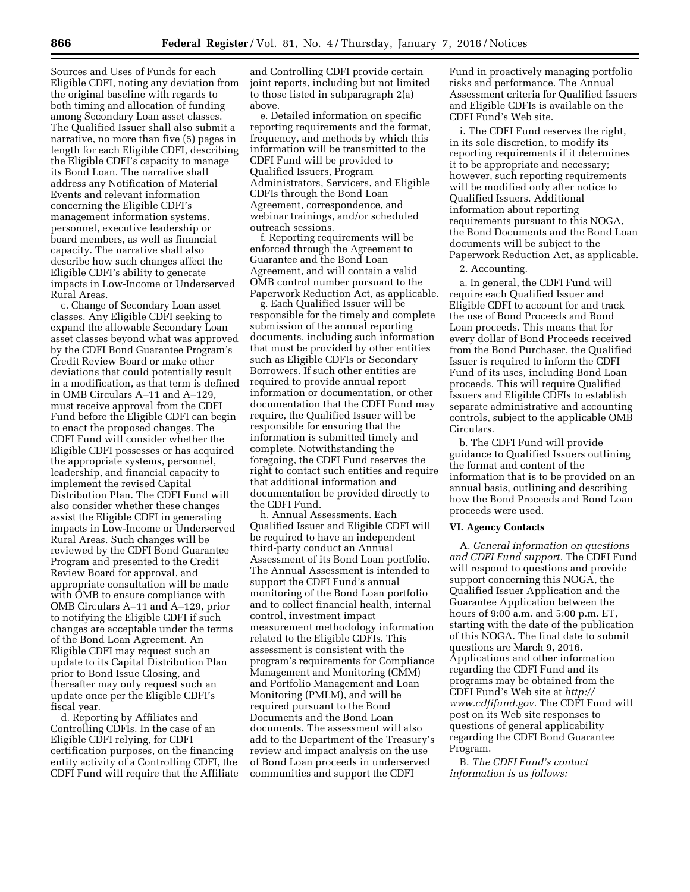Sources and Uses of Funds for each Eligible CDFI, noting any deviation from the original baseline with regards to both timing and allocation of funding among Secondary Loan asset classes. The Qualified Issuer shall also submit a narrative, no more than five (5) pages in length for each Eligible CDFI, describing the Eligible CDFI's capacity to manage its Bond Loan. The narrative shall address any Notification of Material Events and relevant information concerning the Eligible CDFI's management information systems, personnel, executive leadership or board members, as well as financial capacity. The narrative shall also describe how such changes affect the Eligible CDFI's ability to generate impacts in Low-Income or Underserved Rural Areas.

c. Change of Secondary Loan asset classes. Any Eligible CDFI seeking to expand the allowable Secondary Loan asset classes beyond what was approved by the CDFI Bond Guarantee Program's Credit Review Board or make other deviations that could potentially result in a modification, as that term is defined in OMB Circulars A–11 and A–129, must receive approval from the CDFI Fund before the Eligible CDFI can begin to enact the proposed changes. The CDFI Fund will consider whether the Eligible CDFI possesses or has acquired the appropriate systems, personnel, leadership, and financial capacity to implement the revised Capital Distribution Plan. The CDFI Fund will also consider whether these changes assist the Eligible CDFI in generating impacts in Low-Income or Underserved Rural Areas. Such changes will be reviewed by the CDFI Bond Guarantee Program and presented to the Credit Review Board for approval, and appropriate consultation will be made with OMB to ensure compliance with OMB Circulars A–11 and A–129, prior to notifying the Eligible CDFI if such changes are acceptable under the terms of the Bond Loan Agreement. An Eligible CDFI may request such an update to its Capital Distribution Plan prior to Bond Issue Closing, and thereafter may only request such an update once per the Eligible CDFI's fiscal year.

d. Reporting by Affiliates and Controlling CDFIs. In the case of an Eligible CDFI relying, for CDFI certification purposes, on the financing entity activity of a Controlling CDFI, the CDFI Fund will require that the Affiliate and Controlling CDFI provide certain joint reports, including but not limited to those listed in subparagraph 2(a) above.

e. Detailed information on specific reporting requirements and the format, frequency, and methods by which this information will be transmitted to the CDFI Fund will be provided to Qualified Issuers, Program Administrators, Servicers, and Eligible CDFIs through the Bond Loan Agreement, correspondence, and webinar trainings, and/or scheduled outreach sessions.

f. Reporting requirements will be enforced through the Agreement to Guarantee and the Bond Loan Agreement, and will contain a valid OMB control number pursuant to the Paperwork Reduction Act, as applicable.

g. Each Qualified Issuer will be responsible for the timely and complete submission of the annual reporting documents, including such information that must be provided by other entities such as Eligible CDFIs or Secondary Borrowers. If such other entities are required to provide annual report information or documentation, or other documentation that the CDFI Fund may require, the Qualified Issuer will be responsible for ensuring that the information is submitted timely and complete. Notwithstanding the foregoing, the CDFI Fund reserves the right to contact such entities and require that additional information and documentation be provided directly to the CDFI Fund.

h. Annual Assessments. Each Qualified Issuer and Eligible CDFI will be required to have an independent third-party conduct an Annual Assessment of its Bond Loan portfolio. The Annual Assessment is intended to support the CDFI Fund's annual monitoring of the Bond Loan portfolio and to collect financial health, internal control, investment impact measurement methodology information related to the Eligible CDFIs. This assessment is consistent with the program's requirements for Compliance Management and Monitoring (CMM) and Portfolio Management and Loan Monitoring (PMLM), and will be required pursuant to the Bond Documents and the Bond Loan documents. The assessment will also add to the Department of the Treasury's review and impact analysis on the use of Bond Loan proceeds in underserved communities and support the CDFI

Fund in proactively managing portfolio risks and performance. The Annual Assessment criteria for Qualified Issuers and Eligible CDFIs is available on the CDFI Fund's Web site.

i. The CDFI Fund reserves the right, in its sole discretion, to modify its reporting requirements if it determines it to be appropriate and necessary; however, such reporting requirements will be modified only after notice to Qualified Issuers. Additional information about reporting requirements pursuant to this NOGA, the Bond Documents and the Bond Loan documents will be subject to the Paperwork Reduction Act, as applicable.

2. Accounting.

a. In general, the CDFI Fund will require each Qualified Issuer and Eligible CDFI to account for and track the use of Bond Proceeds and Bond Loan proceeds. This means that for every dollar of Bond Proceeds received from the Bond Purchaser, the Qualified Issuer is required to inform the CDFI Fund of its uses, including Bond Loan proceeds. This will require Qualified Issuers and Eligible CDFIs to establish separate administrative and accounting controls, subject to the applicable OMB Circulars.

b. The CDFI Fund will provide guidance to Qualified Issuers outlining the format and content of the information that is to be provided on an annual basis, outlining and describing how the Bond Proceeds and Bond Loan proceeds were used.

#### **VI. Agency Contacts**

A. *General information on questions and CDFI Fund support.* The CDFI Fund will respond to questions and provide support concerning this NOGA, the Qualified Issuer Application and the Guarantee Application between the hours of 9:00 a.m. and 5:00 p.m. ET, starting with the date of the publication of this NOGA. The final date to submit questions are March 9, 2016. Applications and other information regarding the CDFI Fund and its programs may be obtained from the CDFI Fund's Web site at *[http://](http://www.cdfifund.gov) [www.cdfifund.gov.](http://www.cdfifund.gov)* The CDFI Fund will post on its Web site responses to questions of general applicability regarding the CDFI Bond Guarantee Program.

B. *The CDFI Fund's contact information is as follows:*